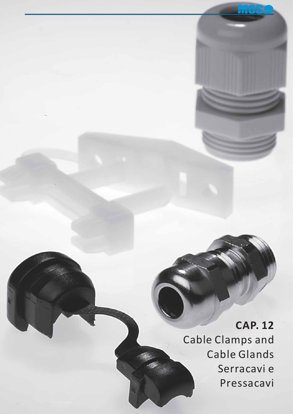**CAP. 12** Cable Clamps and Cable Glands Serracavi e Pressacavi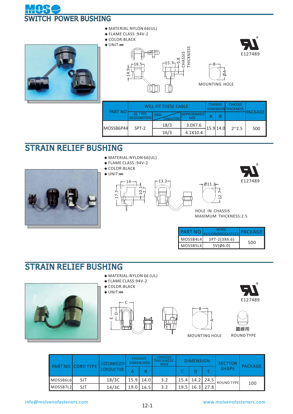





- **◆** FLAME CLASS :94V-2
- **◆** COLOR:BLACK **◆** UNIT:**㎜**







B

 $\delta$ 

| <b>PART NO</b> |                                      | WILL FIT THESE CABLE |                                | <b>CHASSIS</b><br><b>DIMENSIO</b> |          | <b>CHASSIS</b><br><b>THICKNESS</b> |                 |
|----------------|--------------------------------------|----------------------|--------------------------------|-----------------------------------|----------|------------------------------------|-----------------|
|                | <b>UL TYPE</b><br><b>DESIGNATION</b> | <b>AWG</b>           | (IMATF <b>I</b><br><b>SIZE</b> |                                   |          |                                    | <b>IPACKAGE</b> |
| MOSSB6P44      | SPT-2                                | 18/3                 | 3.0X7.6                        |                                   | 15.914.0 | $2^{\sim}2.5$                      | 500             |
|                |                                      | 16/3                 | 4.1X10.4                       |                                   |          |                                    |                 |

## STRAIN RELIEF BUSHING



**◆** FLAME CLASS :94V-2

**◆** COLOR:BLACK

**◆** UNIT:**㎜**









HOLE IN CHASSIS MAXIMUM THICKNESS:2.5

 $\sim$ 

Ø11.2

| <b>PART NO</b> | WIRF<br>ACCOMMODATED: | PACKAGE |
|----------------|-----------------------|---------|
| MOSSB4L4       | SPT-2(3X6.6)          | 500     |
| MOSSB514       | $SV(\emptyset6.0)$    |         |

## STRAIN RELIEF BUSHING



- **◆** MATERIAL:NYLON 66 (UL)
- **◆** FLAME CLASS:94V-2
- **◆** COLOR:BLACK
- **◆** UNIT:**㎜**







ROUND TYPE

|          | <b>PART NO CORD TYPE</b> | SIZE(AWG)OF      | <b>CHASSIS</b><br><b>DIMENSION</b> |      | <b>CHASSIS</b><br><b>THICKNESS</b><br><b>MAX</b> |             | <b>DIMENSION</b>   |      | <b>SECTION</b>    | PACKAGE |  |
|----------|--------------------------|------------------|------------------------------------|------|--------------------------------------------------|-------------|--------------------|------|-------------------|---------|--|
|          |                          | <b>CONDUCTOR</b> |                                    |      |                                                  | $\mathbf C$ |                    |      | <b>SHAPE</b>      |         |  |
| MOSSB6L6 | <b>SJT</b>               | 18/3C            | 15.9                               | 14.0 | 3.2                                              |             | 15.4   14.2   24.5 |      | <b>ROUND TYPE</b> |         |  |
| MOSSB7L2 | SJT                      | 14/3C            | 19.0                               | 16.5 | 3.2                                              | 19.5        | 16.3               | 27.8 |                   | 100     |  |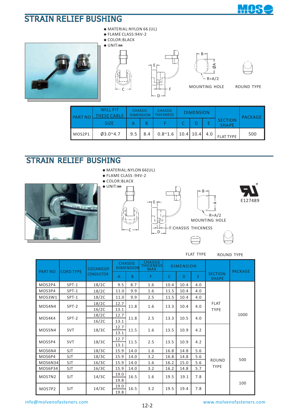

## STRAIN RELIEF BUSHING





**◆** MATERIAL:NYLON 66 (UL)







MOUNTING HOLE ROUND TYPE

| <b>PART NO</b> | <b>WILL FIT</b><br>THESE CABLE | <b>CHASSIS</b><br><b>DIMENSION</b> |     | <b>CHASSIS</b><br><b>THICKNESS</b> | <b>DIMENSION</b> |     |                                | PACKAGE |
|----------------|--------------------------------|------------------------------------|-----|------------------------------------|------------------|-----|--------------------------------|---------|
|                | <b>SIZE</b>                    |                                    |     |                                    |                  |     | <b>SECTION</b><br><b>SHAPE</b> |         |
| MOS2P1         | $03.0^{\circ}4.7$              | 9.5                                | 8.4 | $0.8^{\sim}1.6$                    | $10.4$   $10.4$  | 4.0 | <b>FLAT TYPE</b>               | 500     |

E

l

## STRAIN RELIEF BUSHING



- **◆** MATERIAL:NYLON 66(UL)
- **◆** FLAME CLASS :94V-2
- **◆** COLOR:BLACK









FLAT TYPE ROUND TYPE

| <b>CORD TYPE</b><br><b>PART NO</b> |            | SIZE(AWG)OF      |              | <b>CHASSIS</b><br><b>DIMENSION</b> | <b>CHASSIS</b><br><b>THICKNESS</b><br><b>MAX</b> |              | <b>DIMENSION</b> |     |                                | <b>PACKAGE</b><br>1000 |  |
|------------------------------------|------------|------------------|--------------|------------------------------------|--------------------------------------------------|--------------|------------------|-----|--------------------------------|------------------------|--|
|                                    |            | <b>CONDUCTOR</b> | A            | B.                                 | F                                                | $\mathsf{C}$ | D                | E   | <b>SECTION</b><br><b>SHAPE</b> |                        |  |
| MOS2P4                             | $SPT-1$    | 18/2C            | 9.5          | 8.7                                | 1.6                                              | 10.4         | 10.4             | 4.0 |                                |                        |  |
| MOS3P4                             | SPT-1      | 18/2C            | 11.0         | 9.9                                | 1.6                                              | 11.5         | 10.4             | 4.0 |                                |                        |  |
| MOS3W1                             | SPT-1      | 18/2C            | 11.0         | 9.9                                | 2.5                                              | 11.5         | 10.4             | 4.0 |                                |                        |  |
| MOS4N4                             | SPT-2      | 18/2C            | 12.7         | 11.8                               | 1.6                                              | 13.3         | 10.4             | 4.0 | <b>FLAT</b>                    |                        |  |
|                                    |            | 16/2C            | 13.1         |                                    |                                                  |              |                  |     | <b>TYPE</b>                    |                        |  |
| MOS4K4                             | SPT-2      | 18/2C            | 12.7         | 11.8                               | 2.5                                              | 13.3         | 10.5             | 4.0 |                                |                        |  |
|                                    |            | 16/2C            | 13.1         |                                    |                                                  |              |                  |     |                                |                        |  |
| MOS5N4                             | <b>SVT</b> | 18/3C            | 12.7         | 11.5                               | 1.6                                              | 13.5         | 10.9             | 4.2 |                                |                        |  |
|                                    |            |                  | 13.1         |                                    |                                                  |              |                  |     |                                |                        |  |
| MOS5P4                             | <b>SVT</b> | 18/3C            | 12.7         | 11.5                               | 2.5                                              | 13.5         | 10.9             | 4.2 |                                |                        |  |
|                                    |            |                  | 13.1         |                                    |                                                  |              |                  |     |                                |                        |  |
| MOS6N4                             | SJT        | 18/3C            | 15.9         | 14.0                               | 1.6                                              | 16.8         | 14.8             | 5.6 |                                |                        |  |
| MOS6P4                             | SJT        | 18/3C            | 15.9         | 14.0                               | 3.2                                              | 16.8         | 14.8             | 5.6 | ROUND                          | 500                    |  |
| MOS6N34                            | <b>SJT</b> | 16/3C            | 15.9         | 14.0                               | 1.6                                              | 16.2         | 15.0             | 5.6 |                                |                        |  |
| MOS6P34                            | <b>SJT</b> | 16/3C            | 15.9         | 14.0                               | 3.2                                              | 16.2         | 14.8             | 5.7 | <b>TYPE</b>                    |                        |  |
| MOS7N2                             | <b>SJT</b> | 14/3C            | 19.0         | 16.5                               | 1.6                                              | 19.5         | 19.1             | 7.8 |                                |                        |  |
|                                    |            |                  | 19.8         |                                    |                                                  |              |                  |     |                                | 100                    |  |
| MOS7P2                             | SJT        | 14/3C            | 19.0<br>19.8 | 16.5                               | 3.2                                              | 19.5         | 19.4             | 7.8 |                                |                        |  |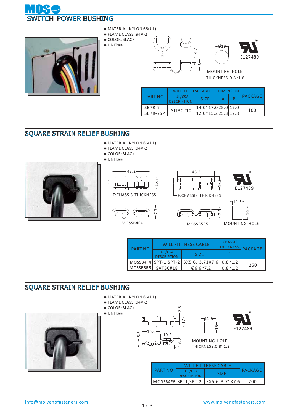



- **◆** MATERIAL:NYLON 66(UL)
- **◆** FLAME CLASS :94V-2 **◆** COLOR:BLACK
- **◆** UNIT:**㎜**





 THICKNESS 0.8~1.6 MOUNTING HOLE

 $-019$ 

|               | <b>WILL FIT THESE CABLE</b>  |                    | <b>DIMENSION</b> |  | PACKAGE |  |
|---------------|------------------------------|--------------------|------------------|--|---------|--|
| PART NO       | UL/CSA<br><b>DESCRIPTION</b> | SI <sub>7</sub> F  |                  |  |         |  |
| <b>SB7R-7</b> | SJT3C#10                     | 14.0~17.025.017.0  |                  |  | 100     |  |
| SB7R-7SP      |                              | 12.0~15.225.3117.8 |                  |  |         |  |

#### SQUARE STRAIN RELIEF BUSHING

- **◆** MATERIAL:NYLON 66(UL)
- **◆** FLAME CLASS :94V-2









MOSSB4F4





 $11.5$ <sup>-</sup>





| <b>PART NO</b> |                              | WILL FIT THESE CABLE                  | <b>CHASSIS</b><br><b>THICKNESS</b> | <b>PACKAGE</b> |
|----------------|------------------------------|---------------------------------------|------------------------------------|----------------|
|                | UL/CSA<br><b>DESCRIPTION</b> | SI <sub>7</sub> F                     |                                    |                |
|                |                              | MOSSB4F4 SPT-1, SPT-2 3X5.6, 3.71X7.6 | $0.8^{\sim}1.2$                    |                |
| MOSSB5R5       | SVT3C#18                     | $06.6^{\circ}7.2$                     | $0.8^{\sim}1.2$                    | 250            |

### SQUARE STRAIN RELIEF BUSHING

- **◆** MATERIAL:NYLON 66(UL)
- **◆** FLAME CLASS :94V-2









MOUNTING HOLE THICKNESS:0.8~1.2

|         |                              | <b>WILL FIT THESE CABLE</b>          |     |
|---------|------------------------------|--------------------------------------|-----|
| PART NO | UL/CSA<br><b>DESCRIPTION</b> | PACKAGE                              |     |
|         |                              | MOSSB4F6 SPT1, SPT-2 3X5.6, 3.71X7.6 | 200 |

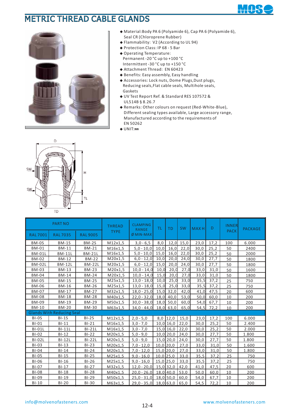## METRIC THREAD CABLE GLANDS



- **◆** Material:Body PA 6 (Polyamide 6), Cap PA 6 (Polyamide 6), Seal CR (Chloroprene Rubber)
- **◆** Flammability: V2 (According to UL 94)
- **◆** Protection Class: IP 68 5 Bar
- **◆** Operating Temperature: Permanent -20 °C up to +100 °C Intermittent -30 °C up to +150 °C
- **◆** Attachment Thread: EN 60423
- **◆** Benefits: Easy assembly, Easy handling
- ◆ Accessories: Lock nuts, Dome Plugs, Dust plugs, Reducing seals,Flat cable seals, Multihole seals, Gaskets
- **◆** UV Test Report Ref. & Standard RES 107572 & UL514B § 8.26.7
- **◆** Remarks: Other colours on request (Red-White-Blue), Different sealing types available, Large accessory range, Manufactured according to the requirements of EN 50262
- **◆** UNIT:**㎜**



|                 | <b>PART NO</b>                   |                 | <b>THREAD</b> | <b>CLAMPING</b><br><b>RANGE</b> | ΤL          | <b>TD</b>   | <b>SW</b>   | <b>MAXH</b> | D    | <b>INNER</b><br><b>PACK</b> | <b>PACKAGE</b> |
|-----------------|----------------------------------|-----------------|---------------|---------------------------------|-------------|-------------|-------------|-------------|------|-----------------------------|----------------|
| <b>RAL 7001</b> | <b>RAL 7035</b>                  | <b>RAL 9005</b> | <b>TYPE</b>   | $Ø$ MIN-MAX                     |             |             |             |             |      |                             |                |
| BM-0S           | <b>BM-1S</b>                     | <b>BM-2S</b>    | M12x1,5       | $3,0 - 6,5$                     | 8,0         |             | $12,0$ 15,0 | 23,0        | 17,2 | 100                         | 6.000          |
| <b>BM-01</b>    | <b>BM-11</b>                     | <b>BM-21</b>    | M16x1,5       | $5,0 - 10,0$                    | 10,0        | 16,0        | 22,0        | 30,0        | 25,2 | 50                          | 2400           |
| <b>BM-01L</b>   | <b>BM-11L</b>                    | <b>BM-21L</b>   | M16x1,5       | $5,0 - 10,0$                    | 15,0        | 16,0        | 22,0        | 30,0        | 25,2 | 50                          | 2000           |
| <b>BM-02</b>    | BM-12                            | <b>BM-22</b>    | M20x1,5       | $6,0 - 12,0$                    | 10,0        | 20,0        | 24,0        | 30,0        | 27,7 | 50                          | 1800           |
| <b>BM-02L</b>   | <b>BM-12L</b>                    | <b>BM-22L</b>   | M20x1,5       | $6,0 - 12,0$                    | 15,0        | 20,0        | 24,0        | 30,0        | 27,7 | 50                          | 1800           |
| <b>BM-03</b>    | <b>BM-13</b>                     | <b>BM-23</b>    | M20x1,5       | $10,0 - 14,0$                   | 10,0        | 20,0        | 27,0        | 33,0        | 31,0 | 50                          | 1600           |
| <b>BM-04</b>    | <b>BM-14</b>                     | <b>BM-24</b>    | M20x1,5       | $10,0 - 14,0$                   | 15,0        | 20,0        | 27,0        | 33,0        | 31,0 | 50                          | 1800           |
| <b>BM-05</b>    | <b>BM-15</b>                     | <b>BM-25</b>    | M25x1,5       | $13,0 - 18,0$                   | 10,0        | 25,0        | 33,0        | 35,5        | 37,2 | 25                          | 750            |
| <b>BM-06</b>    | <b>BM-16</b>                     | <b>BM-26</b>    | M25x1,5       | $13,0 - 18,0$                   | 15,0        | 25,0        | 33,0        | 35,5        | 37,2 | 25                          | 750            |
| <b>BM-07</b>    | <b>BM-17</b>                     | <b>BM-27</b>    | M32x1,5       | $18,0 - 25,0$                   |             | $15,0$ 32,0 | 42,0        | 41,0        | 47,5 | 20                          | 600            |
| <b>BM-08</b>    | <b>BM-18</b>                     | <b>BM-28</b>    | M40x1,5       | $22,0 - 32,0$                   |             | $18,0$ 40,0 | 53,0        | 50,0        | 60,0 | 10                          | 200            |
| <b>BM-09</b>    | <b>BM-19</b>                     | <b>BM-29</b>    | M50x1,5       | $30,0 - 38,0$                   |             | $18,0$ 50,0 | 60,0        | 54,0        | 67,7 | 10                          | 200            |
| <b>BM-10</b>    | <b>BM-20</b>                     | <b>BM-30</b>    | M63x1,5       | $34,0 - 44,0$                   |             | $18,0$ 63,0 | 65,0        | 54,5        | 72,2 | 10                          | 200            |
|                 | <b>Glands With Reducing Seal</b> |                 |               |                                 |             |             |             |             |      |                             |                |
| BI-0S           | $BI-1S$                          | $BI-2S$         | M12x1,5       | $2,0 - 5,0$                     |             | $8,0$ 12,0  | 15,0        | 23,0        | 17,2 | 100                         | 6.000          |
| $BI-01$         | $BI-11$                          | $BI-21$         | M16x1,5       | $3,0 - 7,0$                     |             | $10,0$ 16,0 | 22,0        | 30,0        | 25,2 | 50                          | 2.400          |
| <b>BI-01L</b>   | <b>BI-11L</b>                    | $BI-21L$        | M16x1,5       | $3,0 - 7,0$                     |             | $15,0$ 16,0 | 22,0        | 30,0        | 25,2 | 50                          | 2.000          |
| $BI-02$         | $BI-12$                          | $BI-22$         | M20x1,5       | $5,0 - 9,0$                     |             | $10,0$ 20,0 | 24,0        | 30,0        | 27,7 | 50                          | 1.800          |
| <b>BI-02L</b>   | <b>BI-12L</b>                    | <b>BI-22L</b>   | M20x1,5       | $5,0 - 9,0$                     |             | 15,0 20,0   | 24,0        | 30,0        | 27,7 | 50                          | 1.800          |
| $BI-03$         | $BI-13$                          | $BI-23$         | M20x1,5       | $7,0 - 12,0$                    | $10,0$ 20,0 |             | 27,0        | 33,0        | 31,0 | 50                          | 1.600          |
| $BI-04$         | $BI-14$                          | $BI-24$         | M20x1,5       | $7,0 - 12,0$                    | 15,0 20,0   |             | 27.0        | 33,0        | 31,0 | 50                          | 1.800          |
| <b>BI-05</b>    | $BI-15$                          | $BI-25$         | M25x1,5       | $9,0 - 16,0$                    |             | $10,0$ 25,0 | 33,0        | 35,5        | 37,2 | 25                          | 750            |
| <b>BI-06</b>    | $BI-16$                          | $BI-26$         | M25x1,5       | $9,0 - 16,0$                    |             | $15,0$ 25,0 | 33.0        | 35,5        | 37.2 | 25                          | 750            |
| <b>BI-07</b>    | $BI-17$                          | $BI-27$         | M32x1,5       | $12,0 - 20,0$ 15,0 32,0         |             |             | 42,0        | 41,0        | 47.5 | 20                          | 600            |
| <b>BI-08</b>    | $BI-18$                          | $BI-28$         | M40x1,5       | $20,0 - 26,0$                   |             | $18,0$ 40,0 | 53,0        | 50,0        | 60,0 | 10                          | 200            |
| <b>BI-09</b>    | $BI-19$                          | $BI-29$         | M50x1.5       | $25.0 - 31.0$                   |             | $18,0$ 50.0 | 60.0        | 54.0        | 67.7 | 10                          | 200            |
| $BI-10$         | $BI-20$                          | <b>BI-30</b>    | M63x1,5       | $29,0 - 35,0$                   |             | $18,0$ 63,0 | 65,0        | 54,5        | 72,2 | 10                          | 200            |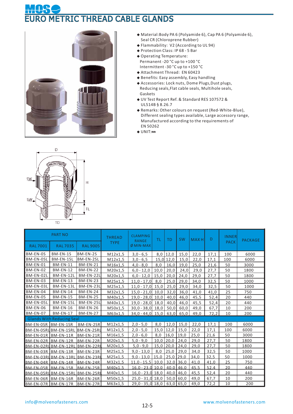# **METRIC THREAD CABLE GLANDS**



- **◆** Material:Body PA 6 (Polyamide 6), Cap PA 6 (Polyamide 6), Seal CR (Chloroprene Rubber)
- **◆** Flammability: V2 (According to UL 94)
- **◆** Protection Class: IP 68 5 Bar
- **◆** Operating Temperature: Permanent -20 °C up to +100 °C Intermittent -30 °C up to +150 °C
- **◆** Attachment Thread: EN 60423
- **◆** Benefits: Easy assembly, Easy handling
- ◆ Accessories: Lock nuts, Dome Plugs, Dust plugs, Reducing seals,Flat cable seals, Multihole seals, Gaskets
- **◆** UV Test Report Ref. & Standard RES 107572 & UL514B § 8.26.7
- **◆** Remarks: Other colours on request (Red-White-Blue), Different sealing types available, Large accessory range, Manufactured according to the requirements of EN 50262
- **◆** UNIT:**㎜**



|                     | <b>PART NO</b>                   |                  | <b>THREAD</b> | <b>CLAMPING</b><br><b>RANGE</b>  | ΤL          | <b>TD</b>   | <b>SW</b> | <b>MAXH</b> | D    | <b>INNER</b> | <b>PACKAGE</b> |
|---------------------|----------------------------------|------------------|---------------|----------------------------------|-------------|-------------|-----------|-------------|------|--------------|----------------|
| <b>RAL 7001</b>     | <b>RAL 7035</b>                  | <b>RAL 9005</b>  | <b>TYPE</b>   | $Ø$ MIN-MAX                      |             |             |           |             |      | <b>PACK</b>  |                |
| BM-EN-0S            | BM-EN-1S                         | BM-EN-2S         | M12x1,5       | $3,0 - 6,5$                      |             | $8,0$ 12,0  | 15,0      | 22,0        | 17,1 | 100          | 6000           |
| <b>BM-EN-OSL</b>    | BM-EN-1SL                        | <b>BM-EN-2SL</b> | M12x1,5       | $3,0 - 6,5$                      |             | 15,0 12,0   | 15,0      | 22,0        | 17,1 | 100          | 6000           |
| <b>BM-EN-01</b>     | <b>BM-EN-11</b>                  | <b>BM-EN-21</b>  | M16x1,5       | $4,0 - 8,0$                      | 8,0         | 16,0        | 19,0      | 25,0        | 21,6 | 50           | 3000           |
| <b>BM-EN-02</b>     | <b>BM-EN-12</b>                  | <b>BM-EN-22</b>  | M20x1,5       | $6,0 - 12,0$                     | 10,0        | 20,0        | 24,0      | 29,0        | 27,7 | 50           | 1800           |
| BM-EN-02L           | BM-EN-12L                        | BM-EN-22L        | M20x1,5       | $6,0 - 12,0$                     | 15,0        | 20,0        | 24,0      | 29,0        | 27,7 | 50           | 1800           |
| <b>BM-EN-03</b>     | <b>BM-EN-13</b>                  | <b>BM-EN-23</b>  | M25x1,5       | $11,0 - 17,0$                    | 8,0         | 25,0        | 29,0      | 34,0        | 32,5 | 50           | 1000           |
| BM-EN-03L           | BM-EN-13L                        | BM-EN-23L        | M25x1,5       | $11,0 - 17,0$                    | 15,0        | 25,0        | 29,0      | 34,0        | 32,5 | 50           | 1000           |
| <b>BM-EN-04</b>     | <b>BM-EN-14</b>                  | <b>BM-EN-24</b>  | M32x1,5       | $15,0 - 21,0$                    | 10,0        | 32,0        | 36,0      | 41,0        | 41,0 | 25           | 750            |
| <b>BM-EN-05</b>     | <b>BM-EN-15</b>                  | <b>BM-EN-25</b>  | M40x1,5       | $19,0 - 28,0$ 10,0               |             | 40,0        | 46,0      | 45,5        | 52,4 | 20           | 440            |
| BM-EN-05L           | <b>BM-EN-15L</b>                 | BM-EN-25L        | M40x1,5       | $19,0 - 28,0$ 18,0               |             | 40,0        | 46,0      | 45,5        | 52,4 | 20           | 440            |
| <b>BM-EN-06</b>     | <b>BM-EN-16</b>                  | <b>BM-EN-26</b>  | M50x1,5       | $30,0 - 38,0$ 18,0               |             | 50,0        | 60,0      | 49,0        | 67,7 | 10           | 200            |
| <b>BM-EN-07</b>     | <b>BM-EN-17</b>                  | <b>BM-EN-27</b>  | M63x1,5       | $34,0 - 44,0$ 15,0               |             | 63,0        | 65,0      | 49,0        | 72,2 | 10           | 200            |
|                     | <b>Glands With Reducing Seal</b> |                  |               |                                  |             |             |           |             |      |              |                |
| BM-EN-OSR BM-EN-1SR |                                  | BM-EN-2SR        | M12x1,5       | $2,0 - 5,0$                      | 8,0         | 12,0        | 15,0      | 22,0        | 17,1 | 100          | 6000           |
|                     | BM-EN-OSRUBM-EN-1SRL BM-EN-2SRU  |                  | M12x1,5       | $2,0 - 5,0$                      | 15,0        | 12,0        | 15,0      | 22,0        | 17,1 | 100          | 6000           |
| BM-EN-01R BM-EN-11R |                                  | BM-EN-21R        | M16x1,5       | $2,0 - 6,0$                      | 8,0         | 16,0        | 19,0      | 25,0        | 21,6 | 50           | 3000           |
|                     | BM-EN-02R BM-EN-12R BM-EN-22R    |                  | M20x1,5       | $5,0 - 9,0$                      |             | $10,0$ 20,0 | 24,0      | 29,0        | 27,7 | 50           | 1800           |
|                     | BM-EN-02RUBM-EN-12RLIBM-EN-22RI  |                  | M20x1,5       | $5,0 - 9,0$                      |             | $15,0$ 20,0 | 24,0      | 29,0        | 27,7 | 50           | 1800           |
|                     | BM-EN-03R BM-EN-13R BM-EN-23R    |                  | M25x1,5       | $9,0 - 13,0$                     |             | $8,0$ 25,0  | 29,0      | 34,0        | 32,5 | 50           | 1000           |
|                     | BM-EN-03RLBM-EN-13RLBM-EN-23RL   |                  | M25x1.5       | $9.0 - 13.0$                     | $15.0$ 25.0 |             | 29.0      | 34.0        | 32.5 | 50           | 1000           |
|                     | BM-FN-04R BM-FN-14R BM-FN-24R    |                  | M32x1.5       | 11.0 - 15.5   10.0   32.0   36.0 |             |             |           | 41.0        | 41.0 | 25           | 750            |
|                     | BM-FN-05R BM-FN-15R BM-FN-25R    |                  | M40x1.5       | $16.0 - 23.0$ 10.0               |             | 40.0 46.0   |           | 45.5        | 52.4 | 20           | 440            |
|                     | BM-EN-05RUBM-EN-15RLIBM-EN-25RI  |                  | M40x1,5       | $16,0 - 23,0$ 18,0               |             | 40.0        | 46,0      | 45.5        | 52,4 | 20           | 440            |
| BM-EN-06R BM-EN-16R |                                  | BM-EN-26R        | M50x1,5       | $25,0 - 31,0$ 18,0               |             | $50,0$ 60,0 |           | 49,0        | 67,7 | 10           | 200            |
| BM-EN-07R BM-EN-17R |                                  | $BM-EN-27R$      | M63x1,5       | $29,0 - 35,0$ 18,0 63,0 65,0     |             |             |           | 49,0        | 72,2 | 10           | 200            |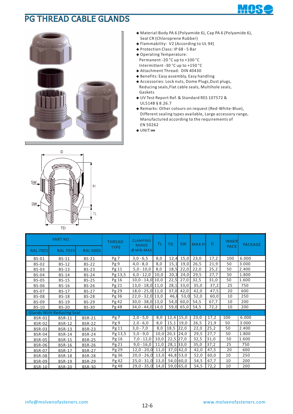### PG THREAD CABLE GLANDS



**◆** Material:Body PA 6 (Polyamide 6), Cap PA 6 (Polyamide 6), Seal CR (Chloroprene Rubber)

┱

- **◆** Flammability: V2 (According to UL 94)
- **◆** Protection Class: IP 68 5 Bar
- **◆** Operating Temperature: Permanent -20 °C up to +100 °C Intermittent -30 °C up to +150 °C
- **◆** Attachment Thread: DIN 40430
- **◆** Benefits: Easy assembly, Easy handling
- ◆ Accessories: Lock nuts, Dome Plugs, Dust plugs, Reducing seals,Flat cable seals, Multihole seals, Gaskets
- **◆** UV Test Report Ref. & Standard RES 107572 & UL514B § 8.26.7
- **◆** Remarks: Other colours on request (Red-White-Blue), Different sealing types available, Large accessory range, Manufactured according to the requirements of EN 50262
- **◆** UNIT:**㎜**



|                 | <b>PART NO</b>                   |                 | <b>THREAD</b><br><b>TYPE</b> | <b>CLAMPING</b><br><b>RANGE</b> | ΤL   | <b>TD</b>   | <b>SW</b> | <b>MAXH</b> | D    | <b>INNER</b><br><b>PACK</b> | <b>PACKAGE</b> |
|-----------------|----------------------------------|-----------------|------------------------------|---------------------------------|------|-------------|-----------|-------------|------|-----------------------------|----------------|
| <b>RAL 7001</b> | <b>RAL 7035</b>                  | <b>RAL 9005</b> |                              | $\emptyset$ MIN-MAX             |      |             |           |             |      |                             |                |
| <b>BS-01</b>    | <b>BS-11</b>                     | <b>BS-21</b>    | Pg 7                         | $3,0 - 6,5$                     | 8,0  | 12,4        | 15,0      | 23,0        | 17,2 | 100                         | 6.000          |
| <b>BS-02</b>    | BS-12                            | <b>BS-22</b>    | Pg 9                         | $4,0 - 8,0$                     | 8,0  | 15,1        | 19,0      | 26,5        | 21,9 | 50                          | 3.000          |
| <b>BS-03</b>    | <b>BS-13</b>                     | <b>BS-23</b>    | Pg 11                        | $5,0 - 10,0$                    | 8,0  | 18,5        | 22,0      | 22,0        | 25,2 | 50                          | 2.400          |
| <b>BS-04</b>    | <b>BS-14</b>                     | <b>BS-24</b>    | Pg 13,5                      | $6,0 - 12,0$                    | 10,0 | 20,3        | 24,0      | 29,5        | 27,7 | 50                          | 1.800          |
| <b>BS-05</b>    | <b>BS-15</b>                     | <b>BS-25</b>    | Pg 16                        | $10,0 - 14,0$ 10,0              |      | 22,5        | 27,0      | 32,5        | 31,0 | 50                          | 1.600          |
| <b>BS-06</b>    | <b>BS-16</b>                     | <b>BS-26</b>    | Pg 21                        | $13,0 - 18,0$ 11,0              |      | 28,1        | 33,0      | 35,0        | 37,2 | 25                          | 750            |
| <b>BS-07</b>    | <b>BS-17</b>                     | <b>BS-27</b>    | Pg 29                        | $18,0 - 25,0$ 11,0              |      | 37,0        | 42,0      | 42,0        | 47,5 | 20                          | 600            |
| <b>BS-08</b>    | <b>BS-18</b>                     | <b>BS-28</b>    | Pg 36                        | $22,0 - 32,0$ 13,0              |      | 46,8        | 53,0      | 52,0        | 60,0 | 10                          | 250            |
| <b>BS-09</b>    | <b>BS-19</b>                     | <b>BS-29</b>    | Pg 42                        | $30,0 - 38,0$ 13,0              |      | 54,0        | 60,0      | 54,5        | 67,7 | 10                          | 200            |
| <b>BS-10</b>    | <b>BS-20</b>                     | <b>BS-30</b>    | Pg 48                        | $34,0 - 44,0$ 14,0              |      | 59,0        | 65,0      | 54,5        | 72,2 | 10                          | 200            |
|                 | <b>Glands With Reducing Seal</b> |                 |                              |                                 |      |             |           |             |      |                             |                |
| <b>BSR-01</b>   | <b>BSR-11</b>                    | <b>BSR-21</b>   | Pg 7                         | $2,0 - 5,0$                     | 8,0  | $12,4$ 15,0 |           | 23,0        | 17,2 | 100                         | 6.000          |
| <b>BSR-02</b>   | <b>BSR-12</b>                    | <b>BSR-22</b>   | Pg 9                         | $2,0 - 6,0$                     | 8,0  | 15,1        | 19,0      | 26,5        | 21,9 | 50                          | 3.000          |
| <b>BSR-03</b>   | <b>BSR-13</b>                    | <b>BSR-23</b>   | Pg 11                        | $3,0 - 7,0$                     | 8,0  | 18,5        | 22,0      | 22,0        | 25,2 | 50                          | 2.400          |
| <b>BSR-04</b>   | <b>BSR-14</b>                    | <b>BSR-24</b>   | Pg 13,5                      | $5,0 - 9,0$                     | 10,0 | 20,3        | 24,0      | 29,5        | 27,7 | 50                          | 1.800          |
| <b>BSR-05</b>   | <b>BSR-15</b>                    | <b>BSR-25</b>   | Pg 16                        | $7,0 - 12,0$                    | 10,0 | 22,5 27,0   |           | 32,5        | 31,0 | 50                          | 1.600          |
| <b>BSR-06</b>   | <b>BSR-16</b>                    | <b>BSR-26</b>   | Pg 21                        | $9,0 - 16,0$                    | 11,0 | $28,1$ 33,0 |           | 35,0        | 37,2 | 25                          | 750            |
| <b>BSR-07</b>   | <b>BSR-17</b>                    | <b>BSR-27</b>   | Pg 29                        | $12,0 - 20,0$                   | 11,0 | $37,0$ 42,0 |           | 42,0        | 47,5 | 20                          | 600            |
| <b>BSR-08</b>   | <b>BSR-18</b>                    | <b>BSR-28</b>   | Pg 36                        | $20,0 - 26,0$                   | 13,0 | 46,8 53,0   |           | 52,0        | 60,0 | 10                          | 250            |
| <b>BSR-09</b>   | <b>BSR-19</b>                    | <b>BSR-29</b>   | Pg 42                        | $25,0 - 31,0$                   | 13,0 | 54,0 60,0   |           | 54,5        | 67,7 | 10                          | 200            |
| <b>BSR-10</b>   | <b>BSR-20</b>                    | <b>BSR-30</b>   | Pg 48                        | $29,0 - 35,0$ 14,0              |      | 59,0 65,0   |           | 54,5        | 72,2 | 10                          | 200            |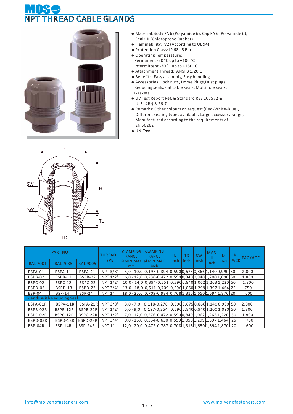# **READ CABLE GLANDS**



- **◆** Material:Body PA 6 (Polyamide 6), Cap PA 6 (Polyamide 6), Seal CR (Chloroprene Rubber)
- **◆** Flammability: V2 (According to UL 94)
- **◆** Protection Class: IP 68 5 Bar
- **◆** Operating Temperature: Permanent -20 °C up to +100 °C Intermittent -30 °C up to +150 °C
- **◆** Attachment Thread: ANSI B 1.20.1
- **◆** Benefits: Easy assembly, Easy handling
- ◆ Accessories: Lock nuts, Dome Plugs, Dust plugs, Reducing seals,Flat cable seals, Multihole seals, Gaskets
- **◆** UV Test Report Ref. & Standard RES 107572 & UL514B § 8.26.7
- **◆** Remarks: Other colours on request (Red-White-Blue), Different sealing types available, Large accessory range, Manufactured according to the requirements of EN 50262
- **◆** UNIT:**㎜**



|                 | <b>PART NO</b>                   |                 | <b>THREAD</b>      | <b>CLAMPING</b><br><b>RANGE</b> | <b>CLAMPING</b><br><b>RANGE</b>                                        | ΤL   | TD   | <b>SW</b> | <b>MAX</b><br>н | D    | IN.         | <b>PACKAGE</b> |
|-----------------|----------------------------------|-----------------|--------------------|---------------------------------|------------------------------------------------------------------------|------|------|-----------|-----------------|------|-------------|----------------|
| <b>RAL 7001</b> | <b>RAL 7035</b>                  | <b>RAL 9005</b> | <b>TYPE</b>        | $\emptyset$ MIN-MAX<br>mm       | $\emptyset$ MIN-MAX<br>inch                                            | inch | inch | inch      | inch            | inch | <b>PACK</b> |                |
| BSPA-01         | BSPA-11                          | BSPA-21         | NPT 3/8"           |                                 | 5,0 - 10,0 0,197-0,394 0,590 0,675 0,866 1,140 0,990 50                |      |      |           |                 |      |             | 2.000          |
| BSPB-02         | BSPB-12                          | BSPB-22         | NPT 1/2"           |                                 | $6,0 - 12,0$ 0,236-0,472 0,590 0,840 0,940 1,200 1,090 50              |      |      |           |                 |      |             | 1.800          |
| BSPC-02         | BSPC-12                          | BSPC-22         | NPT 1/2"           |                                 | 10,0 - 14,0 0,394-0,551 0,590 0,840 1,062 1,263 1,220 50               |      |      |           |                 |      |             | 1.800          |
| BSPD-03         | BSPD-13                          | BSPD-23         | NPT 3/4"           |                                 | 13,0 - 18,0 0,511-0,709 0,590 1,050 1,299 1,397 1,464 25               |      |      |           |                 |      |             | 750            |
| <b>BSP-04</b>   | <b>BSP-14</b>                    | <b>BSP-24</b>   | NPT <sub>1</sub> " |                                 | 18,0 - 25,0 0,709-0,984 0,708 1,315 1,650 1,594 1,870 20               |      |      |           |                 |      |             | 600            |
|                 | <b>Glands With Reducing Seal</b> |                 |                    |                                 |                                                                        |      |      |           |                 |      |             |                |
| BSPA-01R        | BSPA-11R                         | BSPA-21R        | NPT 3/8"           | $3,0 - 7,0$                     | $\left[0,118-0,276\right]0,5900,6750,8661,1400,99050$                  |      |      |           |                 |      |             | 2.000          |
| BSPB-02R        | BSPB-12R                         | BSPB-22R        | NPT 1/2"           | $5,0 - 9,0$                     | $[0, 197 - 0, 354 \ [0, 590 \ 0, 840 \ 0, 940 \ 1, 200 \ 1, 090 \ 50]$ |      |      |           |                 |      |             | 1.800          |
| BSPC-02R        | BSPC-12R                         | BSPC-22R        | NPT 1/2"           |                                 | 7,0 - 12,0 0,276-0,472 0,590 0,840 1,062 1,263 1,220 50                |      |      |           |                 |      |             | 1.800          |
| BSPD-03R        | BSPD-13R                         | BSPD-23R        | NPT 3/4"           |                                 | $9,0 - 16,0$ 0,354-0,630 0,590 1,050 1,299 1,397 1,464 25              |      |      |           |                 |      |             | 750            |
| BSP-04R         | <b>BSP-14R</b>                   | BSP-24R         | NPT <sub>1"</sub>  |                                 | 12,0 - 20,0 0,472-0,787 0,708 1,315 1,650 1,594 1,870 20               |      |      |           |                 |      |             | 600            |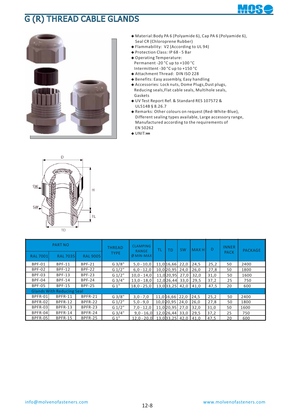## G (R) THREAD CABLE GLANDS



**◆** Material:Body PA 6 (Polyamide 6), Cap PA 6 (Polyamide 6), Seal CR (Chloroprene Rubber)

┱

- **◆** Flammability: V2 (According to UL 94)
- **◆** Protection Class: IP 68 5 Bar **◆** Operating Temperature: Permanent -20 °C up to +100 °C
- Intermittent -30 °C up to +150 °C
- **◆** Attachment Thread: DIN ISO 228
- **◆** Benefits: Easy assembly, Easy handling
- ◆ Accessories: Lock nuts, Dome Plugs, Dust plugs, Reducing seals,Flat cable seals, Multihole seals, Gaskets
- **◆** UV Test Report Ref. & Standard RES 107572 & UL514B § 8.26.7
- **◆** Remarks: Other colours on request (Red-White-Blue), Different sealing types available, Large accessory range, Manufactured according to the requirements of EN 50262
- **◆** UNIT:**㎜**



|                 | <b>PART NO</b>                   |                 | <b>CLAMPING</b><br><b>THREAD</b><br>ΤL<br><b>RANGE</b> |                     | <b>SW</b><br>TD     |      | <b>MAXH</b> | D    | <b>INNER</b> | <b>PACKAGE</b> |
|-----------------|----------------------------------|-----------------|--------------------------------------------------------|---------------------|---------------------|------|-------------|------|--------------|----------------|
| <b>RAL 7001</b> | <b>RAL 7035</b>                  | <b>RAL 9005</b> | <b>TYPE</b>                                            | $\emptyset$ MIN-MAX |                     |      |             |      | <b>PACK</b>  |                |
| BPF-01          | <b>BPF-11</b>                    | <b>BPF-21</b>   | G3/8"                                                  | $5,0 - 10,0$        | 11,0 16,66 22,0     |      | 24,5        | 25,2 | 50           | 2400           |
| <b>BPF-02</b>   | <b>BPF-12</b>                    | <b>BPF-22</b>   | G 1/2"                                                 | $6,0 - 12,0$        | 10,0 20,95          | 24,0 | 26,0        | 27,8 | 50           | 1800           |
| <b>BPF-03</b>   | <b>BPF-13</b>                    | <b>BPF-23</b>   | G 1/2"                                                 | $10.0 - 14.0$       | 11,0 20,95          | 27.0 | 32,0        | 31,0 | 50           | 1600           |
| BPF-04          | <b>BPF-14</b>                    | <b>BPF-24</b>   | G3/4"                                                  | $13,0 - 18,0$       | 12,0 26,44          | 33.0 | 29,5        | 37,2 | 25           | 750            |
| <b>BPF-05</b>   | <b>BPF-15</b>                    | <b>BPF-25</b>   | G 1"                                                   | $18,0 - 25,0$       | $13,0$ 33, 25 42, 0 |      | 41,0        | 47,5 | 20           | 600            |
|                 | <b>Glands With Reducing Seal</b> |                 |                                                        |                     |                     |      |             |      |              |                |
| BPFR-01         | BPFR-11                          | BPFR-21         | G3/8"                                                  | $3,0 - 7,0$         | 11,0 16,66 22,0     |      | 24,5        | 25,2 | 50           | 2400           |
| BPFR-02         | BPFR-12                          | BPFR-22         | G 1/2"                                                 | $5,0 - 9,0$         | 10,0 20,95 24,0     |      | 26,0        | 27,8 | 50           | 1800           |
| BPFR-03         | BPFR-13                          | BPFR-23         | G 1/2"                                                 | $7,0 - 12,0$        | 11.020.95           | 27.0 | 32,0        | 31,0 | 50           | 1600           |
| BPFR-04         | BPFR-14                          | BPFR-24         | G3/4"                                                  | $9.0 - 16.0$        | 12,0 26,44          | 33.0 | 29,5        | 37,2 | 25           | 750            |
| <b>BPFR-05</b>  | <b>BPFR-15</b>                   | BPFR-25         | G1"                                                    | $12.0 - 20.0$       | $13.0$ 33.25        | 42.0 | 41.0        | 47.5 | 20           | 600            |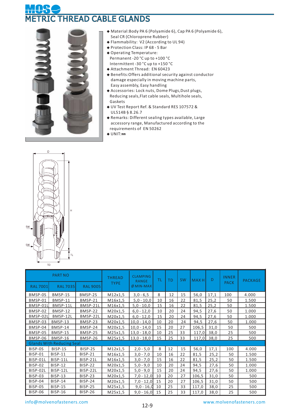## THREAD CABLE GLANDS



- **◆** Material:Body PA 6 (Polyamide 6), Cap PA 6 (Polyamide 6), Seal CR (Chloroprene Rubber)
- **◆** Flammability: V2 (According to UL 94)
- **◆** Protection Class: IP 68 5 Bar
- **◆** Operating Temperature: Permanent -20 °C up to +100 °C Intermittent -30 °C up to +150 °C
- **◆** Attachment Thread: EN 60423
- **◆** Benefits:Offers additional security against conductor damage especially in moving machine parts, Easy assembly, Easy handling
- ◆ Accessories: Lock nuts, Dome Plugs, Dust plugs, Reducing seals,Flat cable seals, Multihole seals, Gaskets
- **◆** UV Test Report Ref. & Standard RES 107572 & UL514B § 8.26.7
- **◆** Remarks: Different sealing types available, Large accessory range, Manufactured according to the requirements of EN 50262
- **◆** UNIT:**㎜**



|                | <b>PART NO</b>                   |                 | <b>THREAD</b><br><b>TYPE</b> | <b>CLAMPING</b><br><b>RANGE</b> | ΤL | <b>TD</b> | <b>SW</b> | <b>MAXH</b> | D    | <b>INNER</b><br><b>PACK</b> | <b>PACKAGE</b> |
|----------------|----------------------------------|-----------------|------------------------------|---------------------------------|----|-----------|-----------|-------------|------|-----------------------------|----------------|
| <b>RAL7001</b> | <b>RAL 7035</b>                  | <b>RAL 9005</b> |                              | $\emptyset$ MIN-MAX             |    |           |           |             |      |                             |                |
| BMSP-0S        | BMSP-1S                          | BMSP-2S         | M12x1,5                      | $3,0 - 6,5$                     | 8  | 12        | 15        | 56,0        | 17,1 | 100                         | 4.000          |
| BMSP-01        | BMSP-11                          | BMSP-21         | M16x1,5                      | $5,0 - 10,0$                    | 10 | 16        | 22        | 81,5        | 25,2 | 50                          | 1.500          |
| BMSP-01L       | BMSP-11L                         | BMSP-21L        | M16x1,5                      | $5,0 - 10,0$                    | 15 | 16        | 22        | 81,5        | 25,2 | 50                          | 1.500          |
| BMSP-02        | BMSP-12                          | BMSP-22         | M20x1,5                      | $6,0 - 12,0$                    | 10 | 20        | 24        | 94,5        | 27,6 | 50                          | 1.000          |
| BMSP-02L       | BMSP-12L                         | BMSP-22L        | M20x1,5                      | $6,0 - 12,0$                    | 15 | 20        | 24        | 94,5        | 27,6 | 50                          | 1.000          |
| BMSP-03        | BMSP-13                          | BMSP-23         | M20x1,5                      | $10,0 - 14,0$                   | 10 | 20        | 24        | 94,5        | 27,6 | 50                          | 1.000          |
| BMSP-04        | BMSP-14                          | BMSP-24         | M20x1,5                      | $10,0 - 14,0$                   | 15 | 20        | 27        | 106,5       | 31,0 | 50                          | 500            |
| BMSP-05        | <b>BMSP-15</b>                   | BMSP-25         | M25x1,5                      | $13,0 - 18,0$                   | 10 | 25        | 33        | 117,0       | 38,0 | 25                          | 500            |
| BMSP-06        | BMSP-16                          | BMSP-26         | M25x1,5                      | $13,0 - 18,0$                   | 15 | 25        | 33        | 117,0       | 38,0 | 25                          | 500            |
|                | <b>Glands With Reducing Seal</b> |                 |                              |                                 |    |           |           |             |      |                             |                |
| BISP-0S        | BISP-1S                          | BISP-2S         | M12x1,5                      | $2,0 - 5,0$                     | 8  | 12        | 15        | 56,0        | 17,1 | 100                         | 4.000          |
| <b>BISP-01</b> | <b>BISP-11</b>                   | <b>BISP-21</b>  | M16x1,5                      | $3,0 - 7,0$                     | 10 | 16        | 22        | 81,5        | 25,2 | 50                          | 1.500          |
| BISP-01L       | BISP-11L                         | BISP-21L        | M16x1,5                      | $3,0 - 7,0$                     | 15 | 16        | 22        | 81,5        | 25,2 | 50                          | 1.500          |
| BISP-02        | <b>BISP-12</b>                   | BISP-22         | M20x1,5                      | $5,0 - 9,0$                     | 10 | 20        | 24        | 94,5        | 27,6 | 50                          | 1.000          |
| BISP-02L       | BISP-12L                         | BISP-22L        | M20x1,5                      | $5,0 - 9,0$                     | 15 | 20        | 24        | 94,5        | 27,6 | 50                          | 1.000          |
| <b>BISP-03</b> | <b>BISP-13</b>                   | <b>BISP-23</b>  | M20x1,5                      | $7,0 - 12,0$                    | 10 | 20        | 27        | 106,5       | 31,0 | 50                          | 500            |
| BISP-04        | <b>BISP-14</b>                   | <b>BISP-24</b>  | M20x1,5                      | $7,0 - 12,0$                    | 15 | 20        | 27        | 106,5       | 31,0 | 50                          | 500            |
| <b>BISP-05</b> | <b>BISP-15</b>                   | <b>BISP-25</b>  | M25x1,5                      | $9,0 - 16,0$                    | 10 | 25        | 33        | 117,0       | 38,0 | 25                          | 500            |
| <b>BISP-06</b> | <b>BISP-16</b>                   | <b>BISP-26</b>  | M25x1,5                      | $9,0 - 16,0$                    | 15 | 25        | 33        | 117,0       | 38,0 | 25                          | 500            |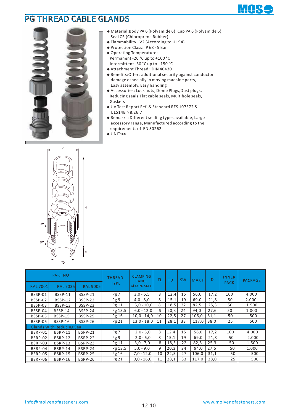### PG THREAD CABLE GLANDS



- **◆** Material:Body PA 6 (Polyamide 6), Cap PA 6 (Polyamide 6), Seal CR (Chloroprene Rubber)
- **◆** Flammability: V2 (According to UL 94)
- **◆** Protection Class: IP 68 5 Bar
- **◆** Operating Temperature: Permanent -20 °C up to +100 °C Intermittent -30 °C up to +150 °C
- **◆** Attachment Thread: DIN 40430
- **◆** Benefits:Offers additional security against conductor damage especially in moving machine parts, Easy assembly, Easy handling
- ◆ Accessories: Lock nuts, Dome Plugs, Dust plugs, Reducing seals,Flat cable seals, Multihole seals, Gaskets
- **◆** UV Test Report Ref. & Standard RES 107572 & UL514B § 8.26.7
- **◆** Remarks: Different sealing types available, Large accessory range, Manufactured according to the requirements of EN 50262
- **◆** UNIT:**㎜**



|                | <b>PART NO</b>                   |                 | THREAD      | <b>CLAMPING</b><br><b>RANGE</b> | ΤL | ТD   | <b>SW</b> | <b>MAXH</b> | D    | <b>INNER</b> | PACKAGE |
|----------------|----------------------------------|-----------------|-------------|---------------------------------|----|------|-----------|-------------|------|--------------|---------|
| <b>RAL7001</b> | <b>RAL 7035</b>                  | <b>RAL 9005</b> | <b>TYPE</b> | $\emptyset$ MIN-MAX             |    |      |           |             |      | <b>PACK</b>  |         |
| BSSP-01        | <b>BSSP-11</b>                   | <b>BSSP-21</b>  | Pg7         | $3,0 - 6,5$                     | 8  | 12,4 | 15        | 56,0        | 17,2 | 100          | 4.000   |
| BSSP-02        | <b>BSSP-12</b>                   | BSSP-22         | Pg9         | $4,0 - 8,0$                     | 8  | 15,1 | 19        | 69,0        | 21,8 | 50           | 2.000   |
| BSSP-03        | <b>BSSP-13</b>                   | <b>BSSP-23</b>  | Pg 11       | $5,0 - 10,0$                    | 8  | 18,5 | 22        | 82,5        | 25,3 | 50           | 1.500   |
| BSSP-04        | <b>BSSP-14</b>                   | <b>BSSP-24</b>  | Pg 13,5     | $6,0 - 12,0$                    | 9  | 20,3 | 24        | 94,0        | 27,6 | 50           | 1.000   |
| BSSP-05        | <b>BSSP-15</b>                   | <b>BSSP-25</b>  | Pg 16       | $10,0 - 14,0$                   | 10 | 22,5 | 27        | 106,0       | 31,1 | 50           | 500     |
| BSSP-06        | <b>BSSP-16</b>                   | BSSP-26         | Pg 21       | $13,0 - 18,0$                   | 11 | 28,1 | 33        | 117,0       | 38,0 | 25           | 500     |
|                | <b>Glands With Reducing Seal</b> |                 |             |                                 |    |      |           |             |      |              |         |
| BSRP-01        | <b>BSRP-11</b>                   | <b>BSRP-21</b>  | Pg 7        | $2,0 - 5,0$                     | 8  | 12,4 | 15        | 56,0        | 17,2 | 100          | 4.000   |
| BSRP-02        | <b>BSRP-12</b>                   | <b>BSRP-22</b>  | Pg9         | $2,0 - 6,0$                     | 8  | 15,1 | 19        | 69,0        | 21,8 | 50           | 2.000   |
| BSRP-03        | <b>BSRP-13</b>                   | <b>BSRP-23</b>  | Pg 11       | $3,0 - 7,0$                     | 8  | 18,5 | 22        | 82,5        | 25,3 | 50           | 1.500   |
| BSRP-04        | BSRP-14                          | BSRP-24         | Pg 13,5     | $5,0 - 9,0$                     | 9  | 20,3 | 24        | 94,0        | 27,6 | 50           | 1.000   |
| BSRP-05        | <b>BSRP-15</b>                   | <b>BSRP-25</b>  | Pg 16       | $7,0 - 12,0$                    | 10 | 22,5 | 27        | 106,0       | 31,1 | 50           | 500     |
| BSRP-06        | <b>BSRP-16</b>                   | <b>BSRP-26</b>  | Pg 21       | $9,0 - 16,0$                    | 11 | 28,1 | 33        | 117,0       | 38,0 | 25           | 500     |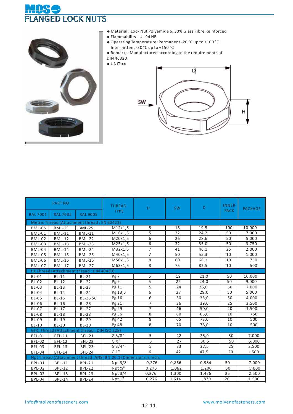## **NGED LOCK NUTS**



- **◆** Material: Lock Nut Polyamide 6, 30% Glass Fibre Reinforced
- Flammability: UL 94 HB **◆**
- Operating Temperature: Permanent -20 °C up to +100 °C **◆** Intermittent -30 °C up to +150 °C
- ◆ Remarks: Manufactured according to the requirements of
- DIN 46320
- **◆** UNIT:**㎜**



|                | <b>PART NO</b>      |                                              | <b>THREAD</b>                                                     | H              | <b>SW</b>       | D     | <b>INNER</b>    | <b>PACKAGE</b> |
|----------------|---------------------|----------------------------------------------|-------------------------------------------------------------------|----------------|-----------------|-------|-----------------|----------------|
| <b>RAL7001</b> | <b>RAL 7035</b>     | <b>RAL 9005</b>                              | <b>TYPE</b>                                                       |                |                 |       | <b>PACK</b>     |                |
|                |                     | Metric Thread (Attachment thread: EN 60423)  |                                                                   |                |                 |       |                 |                |
| BML-0S         | BML-1S              | BML-2S                                       | M12x1,5                                                           | 5              | 18              | 19,5  | 100             | 10.000         |
| <b>BML-01</b>  | <b>BML-11</b>       | <b>BML-21</b>                                | M16x1,5                                                           | 5              | 22              | 24,2  | 50              | 7.000          |
| <b>BML-02</b>  | <b>BML-12</b>       | <b>BML-22</b>                                | M20x1,5                                                           | 6              | 26              | 28,6  | 50              | 5.000          |
| <b>BML-03</b>  | <b>BML-13</b>       | <b>BML-23</b>                                | M25x1,5                                                           | 6              | 32              | 35,0  | 50              | 3.750          |
| <b>BML-04</b>  | <b>BML-14</b>       | <b>BML-24</b>                                | M32x1,5                                                           | $\overline{7}$ | 41              | 46,1  | 25              | 2.000          |
| <b>BML-05</b>  | <b>BML-15</b>       | <b>BML-25</b>                                | $\overline{M}$ 40x1,5                                             | $\overline{7}$ | 50              | 55,3  | 10              | 1.000          |
| <b>BML-06</b>  | $BML-16$            | <b>BML-26</b>                                | M50x1,5                                                           | 8              | 60              | 66,1  | 10              | 750            |
| <b>BML-07</b>  | $\overline{BML-17}$ | <b>BML-27</b>                                | M63x1,5                                                           | 8              | $\overline{75}$ | 82,5  | 10              | 500            |
|                |                     | Pg Thread (Attachment thread: DIN 40430)     |                                                                   |                |                 |       |                 |                |
| <b>BL-01</b>   | $BL-11$             | $BL-21$                                      | Pg 7                                                              | 5              | 19              | 21,0  | 50              | 10.000         |
| <b>BL-02</b>   | $BL-12$             | $BL-22$                                      | Pg 9                                                              | $\overline{5}$ | $\overline{22}$ | 24,0  | 50              | 9.000          |
| <b>BL-03</b>   | $BL-13$             | $BL-23$                                      | Pg 11                                                             | $\overline{5}$ | $\overline{24}$ | 26,0  | 50              | 7.000          |
| <b>BL-04</b>   | $BL-14$             | $BL-24$                                      | Pg 13,5                                                           | $\overline{6}$ | $\overline{27}$ | 29,0  | $\overline{50}$ | 5.000          |
| <b>BL-05</b>   | $BL-15$             | BL-25 50                                     | Pg 16                                                             | $\overline{6}$ | $\overline{30}$ | 33,0  | 50              | 4.000          |
| <b>BL-06</b>   | $BL-16$             | <b>BL-26</b>                                 | Pg 21                                                             | $\overline{7}$ | $\overline{36}$ | 39,0  | $\overline{25}$ | 2.500          |
| <b>BL-07</b>   | $BL-17$             | $BL-27$                                      | Pg 29                                                             | $\overline{7}$ | 46              | 50,0  | $\overline{20}$ | 1.500          |
| $BL-08$        | $BL-18$             | $BL-28$                                      | Pg 36                                                             | $\overline{8}$ | 60              | 66,0  | 10              | 750            |
| <b>BL-09</b>   | <b>BL-19</b>        | <b>BL-29</b>                                 | Pg 42                                                             | $\overline{8}$ | 65              | 73,0  | 10              | 500            |
| <b>BL-10</b>   | <b>BL-20</b>        | <b>BL-30</b>                                 | Pg 48                                                             | 8              | 70              | 78,0  | 10              | 500            |
|                |                     | G(R) Thread (Attachment thread: DIN ISO 228) |                                                                   |                |                 |       |                 |                |
| <b>BFL-01</b>  | <b>BFL-11</b>       | <b>BFL-21</b>                                | G3/8"                                                             | 5              | 22              | 25,0  | 50              | 7.000          |
| <b>BFL-02</b>  | <b>BFL-12</b>       | <b>BFL-22</b>                                | G 1/2"                                                            | 5              | 27              | 30,5  | 50              | 5.000          |
| <b>BFL-03</b>  | <b>BFL-13</b>       | <b>BFL-23</b>                                | G3/4"                                                             | 5              | 33              | 37,5  | 25              | 2.500          |
| BFL-04         | <b>BFL-14</b>       | <b>BFL-24</b>                                | G1"                                                               | 6              | 42              | 47,5  | 20              | 1.500          |
|                |                     |                                              | Npt Thread (Attachment thread: ANSI B 1.20.1) Dimensions is Inch. |                |                 |       |                 |                |
| <b>BPL-01</b>  | <b>BPL-11</b>       | <b>BPL-21</b>                                | Npt 3/8"                                                          | 0,276          | 0,866           | 0,984 | 50              | 7.000          |
| <b>BPL-02</b>  | <b>BPL-12</b>       | <b>BPL-22</b>                                | Npt Z''                                                           | 0,276          | 1,062           | 1,200 | 50              | 5.000          |
| <b>BPL-03</b>  | <b>BPL-13</b>       | <b>BPL-23</b>                                | Npt 3/4"                                                          | 0,276          | 1,300           | 1,476 | 25              | 2.500          |
| BPL-04         | <b>BPL-14</b>       | <b>BPL-24</b>                                | Npt 1"                                                            | 0.276          | 1,614           | 1,830 | 20              | 1.500          |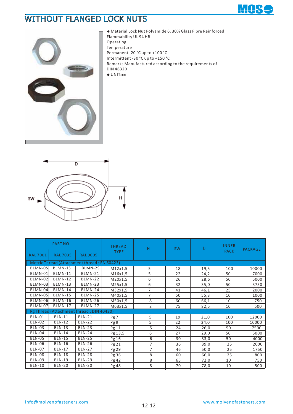## WITHOUT FLANGED LOCK NUTS





**◆** Material Lock Nut Polyamide 6, 30% Glass Fibre Reinforced Flammability UL 94 HB Operating Temperature Permanent -20 °C up to +100 °C Intermittent -30 °C up to +150 °C Remarks Manufactured according to the requirements of DIN 46320 **◆** UNIT:**㎜**



|                | <b>PART NO</b>  |                                             | <b>THREAD</b> | H              | <b>SW</b> | D    | <b>INNER</b> | <b>PACKAGE</b> |
|----------------|-----------------|---------------------------------------------|---------------|----------------|-----------|------|--------------|----------------|
| <b>RAL7001</b> | <b>RAL 7035</b> | <b>RAL 9005</b>                             | <b>TYPE</b>   |                |           |      | <b>PACK</b>  |                |
|                |                 | Metric Thread (Attachment thread: EN 60423) |               |                |           |      |              |                |
| BLMN-0S        | BLMN-1S         | BLMN-2S                                     | M12x1,5       | 5              | 18        | 19,5 | 100          | 10000          |
| BLMN-01        | <b>BLMN-11</b>  | BLMN-21                                     | M16x1,5       | 5              | 22        | 24,2 | 50           | 7000           |
| BLMN-02        | <b>BLMN-12</b>  | BLMN-22                                     | M20x1,5       | 6              | 26        | 28,6 | 50           | 5000           |
| BLMN-03        | BLMN-13         | BLMN-23                                     | M25x1,5       | 6              | 32        | 35,0 | 50           | 3750           |
| BLMN-04        | <b>BLMN-14</b>  | BLMN-24                                     | M32x1,5       | $\overline{7}$ | 41        | 46,1 | 25           | 2000           |
| BLMN-05        | <b>BLMN-15</b>  | BLMN-25                                     | M40x1,5       | $\overline{7}$ | 50        | 55,3 | 10           | 1000           |
| BLMN-06        | <b>BLMN-16</b>  | BLMN-26                                     | M50x1,5       | 8              | 60        | 66,1 | 10           | 750            |
| BLMN-07        | BLMN-17         | BLMN-27                                     | M63x1,5       | 8              | 75        | 82,5 | 10           | 500            |
|                |                 | Pg Thread (Attachment thread: DIN 40430)    |               |                |           |      |              |                |
| <b>BLN-01</b>  | <b>BLN-11</b>   | <b>BLN-21</b>                               | Pg 7          | 5              | 19        | 21,0 | 100          | 12000          |
| <b>BLN-02</b>  | <b>BLN-12</b>   | <b>BLN-22</b>                               | Pg 9          | 5              | 22        | 24,0 | 100          | 10000          |
| <b>BLN-03</b>  | $BLN-13$        | <b>BLN-23</b>                               | Pg 11         | 5              | 24        | 26,0 | 50           | 7500           |
| <b>BLN-04</b>  | <b>BLN-14</b>   | <b>BLN-24</b>                               | Pg 13,5       | 6              | 27        | 29,0 | 50           | 5000           |
| <b>BLN-05</b>  | <b>BLN-15</b>   | <b>BLN-25</b>                               | Pg 16         | 6              | 30        | 33,0 | 50           | 4000           |
| <b>BLN-06</b>  | <b>BLN-16</b>   | <b>BLN-26</b>                               | Pg 21         | 7              | 36        | 39,0 | 25           | 2000           |
| <b>BLN-07</b>  | <b>BLN-17</b>   | <b>BLN-27</b>                               | Pg 29         | $\overline{7}$ | 46        | 50,0 | 25           | 1750           |
| <b>BLN-08</b>  | <b>BLN-18</b>   | <b>BLN-28</b>                               | Pg 36         | 8              | 60        | 66,0 | 25           | 800            |
| <b>BLN-09</b>  | <b>BLN-19</b>   | <b>BLN-29</b>                               | Pg 42         | 8              | 65        | 72,0 | 10           | 750            |
| <b>BLN-10</b>  | <b>BLN-20</b>   | <b>BLN-30</b>                               | Pg 48         | 8              | 70        | 78,0 | 10           | 500            |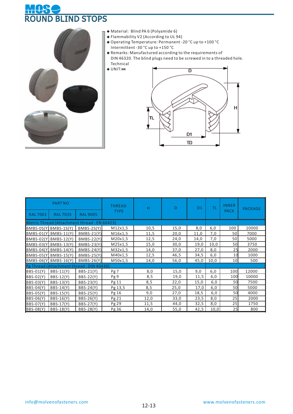#### S HV. ROUND BLIND STOPS



- **◆** Material: Blind PA 6 (Polyamide 6)
- **◆** Flammability V2 (According to UL 94)
- **◆** Operating Temperature: Permanent -20 °C up to +100 °C Intermittent -30 °C up to +150 °C
- **◆** Remarks: Manufactured according to the requirements of DIN 46320. The blind plugs need to be screwed in to a threaded hole. Technical
- **◆** UNIT:**㎜**



|                  | <b>PART NO</b>                              |                   | <b>THREAD</b> | н    | D    | D1   | ΤL   | <b>INNER</b> | <b>PACKAGE</b> |
|------------------|---------------------------------------------|-------------------|---------------|------|------|------|------|--------------|----------------|
| <b>RAL7001</b>   | <b>RAL 7035</b>                             | <b>RAL 9005</b>   | <b>TYPE</b>   |      |      |      |      | <b>PACK</b>  |                |
|                  | Metric Thread (Attachment thread: EN 60423) |                   |               |      |      |      |      |              |                |
| BMBS-0S(Y)       | $BMBS-1S(Y)$                                | $BMBS-2S(Y)$      | M12x1,5       | 10,5 | 15,0 | 8,0  | 6,0  | 100          | 10000          |
|                  | $BMBS-01(Y)$ BMBS-11(Y)                     | $BMBS-21(Y)$      | M16x1,5       | 11,5 | 20,0 | 11,0 | 7,0  | 50           | 7000           |
|                  | BMBS-02(Y) BMBS-12(Y)                       | <b>BMBS-22(Y)</b> | M20x1,5       | 12,5 | 24,0 | 14,0 | 7,0  | 50           | 5000           |
|                  | BMBS-03(Y) BMBS-13(Y)                       | <b>BMBS-23(Y)</b> | M25x1,5       | 15,0 | 30,0 | 19,0 | 10,0 | 50           | 3750           |
|                  | BMBS-04(Y) BMBS-14(Y)                       | <b>BMBS-24(Y)</b> | M32x1,5       | 14,0 | 37,0 | 27,0 | 8,0  | 25           | 2000           |
|                  | BMBS-05(Y) BMBS-15(Y)                       | <b>BMBS-25(Y)</b> | M40x1,5       | 12,5 | 46,5 | 34,5 | 6,0  | 10           | 1000           |
|                  | $BMBS-06(Y)$ BMBS-16(Y)                     | <b>BMBS-26(Y)</b> | M50x1,5       | 14,0 | 56,0 | 45,0 | 10,0 | 10           | 500            |
|                  | Pg Thread (Attachment thread: DIN 40430)    |                   |               |      |      |      |      |              |                |
| <b>BBS-01(Y)</b> | BBS-11(Y)                                   | BBS-21(Y)         | Pg7           | 8,0  | 15,0 | 9,0  | 6,0  | 100          | 12000          |
| <b>BBS-02(Y)</b> | BBS-12(Y)                                   | BBS-22(Y)         | Pg 9          | 8,5  | 19,0 | 11,5 | 6,0  | 100          | 10000          |
| <b>BBS-03(Y)</b> | BBS-13(Y)                                   | BBS-23(Y)         | Pg 11         | 8,5  | 22,0 | 15,0 | 6,0  | 50           | 7500           |
| <b>BBS-04(Y)</b> | BBS-14(Y)                                   | BBS-24(Y)         | Pg 13,5       | 8,5  | 25,0 | 17,0 | 6,0  | 50           | 5000           |
| <b>BBS-05(Y)</b> | BBS-15(Y)                                   | BBS-25(Y)         | Pg 16         | 9,0  | 27,0 | 18,5 | 6,0  | 50           | 4000           |
| <b>BBS-06(Y)</b> | BBS-16(Y)                                   | BBS-26(Y)         | Pg 21         | 12,0 | 33,0 | 23,5 | 8,0  | 25           | 2000           |
| <b>BBS-07(Y)</b> | BBS-17(Y)                                   | BBS-27(Y)         | Pg 29         | 11,5 | 44,0 | 32,5 | 8,0  | 25           | 1750           |
| <b>BBS-08(Y)</b> | BBS-18(Y)                                   | BBS-28(Y)         | Pg 36         | 14,0 | 55,0 | 42,5 | 10,0 | 25           | 800            |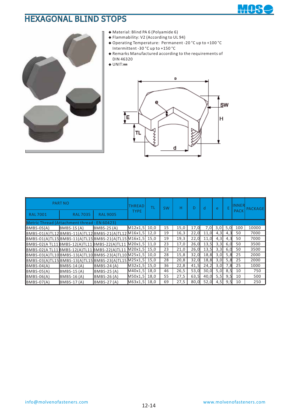## HEXAGONAL BLIND STOPS





- **◆** Material: Blind PA 6 (Polyamide 6)
- **◆** Flammability: V2 (According to UL 94)
- **◆** Operating Temperature: Permanent -20 °C up to +100 °C Intermittent -30 °C up to +150 °C
- **◆** Remarks Manufactured according to the requirements of DIN 46320
- **◆** UNIT:**㎜**



|                                             | <b>PART NO</b>     |                                                           | <b>THREAD</b> | TL | <b>SW</b> | н    | D    | <sub>d</sub> | e   | F.  | <b>INNER</b> | PACKAGE |
|---------------------------------------------|--------------------|-----------------------------------------------------------|---------------|----|-----------|------|------|--------------|-----|-----|--------------|---------|
| <b>RAL 7001</b>                             | <b>RAL 7035</b>    | <b>RAL 9005</b>                                           | <b>TYPE</b>   |    |           |      |      |              |     |     | <b>PACK</b>  |         |
| Metric Thread (Attachment thread: EN 60423) |                    |                                                           |               |    |           |      |      |              |     |     |              |         |
| BMBS-0S(A)                                  | $BMBS-1S(A)$       | $BMBS-2S(A)$                                              | M12x1,5 10,0  |    | 15        | 15,0 | 17.0 | 7,0          | 3,0 | 5.0 | 100          | 10000   |
|                                             |                    | BMBS-01(A)TL12 BMBS-11(A)TL12 BMBS-21(A)TL12 M16x1,5 12,0 |               |    | 19        | 16,3 | 22,0 | 11,0         | 4,3 | 4,3 | 50           | 7000    |
|                                             |                    | BMBS-01(A)TL15BMBS-11(A)TL15BMBS-21(A)TL15M16x1,5 15,0    |               |    | 19        | 19,3 | 22,0 | 11,0         | 4,3 | 4,3 | 50           | 7000    |
|                                             |                    | BMBS-02(ATL11BMBS-12(A)TL11BMBS-22(A)TL11 M20x1,5 11,0    |               |    | 23        | 17,0 | 26,0 | 13,5         | 3,3 | 6,0 | 50           | 3500    |
|                                             |                    | BMBS-02(ATL11BMBS-12(A)TL11BMBS-22(A)TL11 M20x1,5 15,0    |               |    | 23        | 21,0 | 26,0 | 13,5         | 3,3 | 6,0 | 50           | 3500    |
|                                             |                    | BMBS-03(A)TL10 BMBS-13(A)TL10 BMBS-23(A)TL10 M25x1,5 10,0 |               |    | 28        | 15,8 | 32,0 | 18,8         | 3,0 | 5,8 | 25           | 2000    |
|                                             |                    | BMBS-03(A)TL15BMBS-13(A)TL15BMBS-23(A)TL15M25x1,5 15,0    |               |    | 28        | 20,8 | 32,0 | 18,8         | 3,0 | 5,8 | 25           | 2000    |
| $BMBS-04(A)$                                | <b>BMBS-14(A)</b>  | <b>BMBS-24(A)</b>                                         | M32x1,5 15,0  |    | 36        | 22,8 | 41,5 | 24,2         | 3,0 | 7.8 | 25           | 1000    |
| $BMBS-05(A)$                                | <b>BMBS-15 (A)</b> | <b>BMBS-25(A)</b>                                         | M40x1,5 18,0  |    | 46        | 26,5 | 53,0 | 30,0         | 5,0 | 8,5 | 10           | 750     |
| $BMBS-06(A)$                                | <b>BMBS-16(A)</b>  | <b>BMBS-26(A)</b>                                         | M50x1,5 18,0  |    | 55        | 27,5 | 63,5 | 40,0         | 5,5 | 9,5 | 10           | 500     |
| $BMBS-07(A)$                                | BMBS-17(A)         | <b>BMBS-27(A)</b>                                         | M63x1,5 18,0  |    | 69        | 27.5 | 80,0 | 52,0         | 4,5 | 9.5 | 10           | 250     |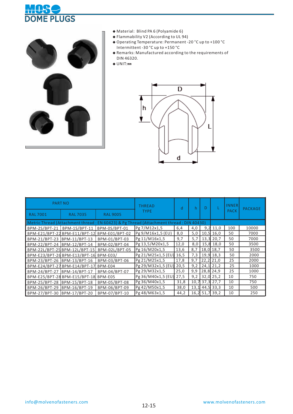



- **◆** Material: Blind PA 6 (Polyamide 6)
- **◆** Flammability V2 (According to UL 94)
- **◆** Operating Temperature: Permanent -20 °C up to +100 °C Intermittent -30 °C up to +150 °C
- **◆** Remarks: Manufactured according to the requirements of DIN 46320.
- **◆** UNIT:**㎜**



|                             | <b>PART NO</b>                         |                                              | <b>THREAD</b>                                                                          | d    | h    | D         |             | <b>INNER</b> | <b>PACKAGE</b> |
|-----------------------------|----------------------------------------|----------------------------------------------|----------------------------------------------------------------------------------------|------|------|-----------|-------------|--------------|----------------|
| <b>RAL7001</b>              | <b>RAL 7035</b>                        | <b>RAL 9005</b>                              | <b>TYPE</b>                                                                            |      |      |           |             | <b>PACK</b>  |                |
|                             |                                        |                                              | Metric Thread (Attachment thread: EN 60423) & Pg Thread (Attachment thread: DIN 40430) |      |      |           |             |              |                |
|                             | BPM-2S/BPT-21 BPM-1S/BPT-11            | BPM-0S/BPT-01                                | Pg 7/M12x1,5                                                                           | 6,4  | 4,0  |           | $9,2$ 11,0  | 100          | 10000          |
|                             |                                        | BPM-E21/BPT-22 BPM-E11/BPT-12 BPM-E01/BPT-02 | Pg 9/M16x1,5 (EU)                                                                      | 8,0  | 5,0  |           | $10,5$ 16,0 | 50           | 7000           |
| BPM-21/BPT-23 BPM-11/BPT-13 |                                        | BPM-01/BPT-03                                | Pg 11/M16x1,5                                                                          | 9,7  | 5,7  |           | 13,3 20,7   | 50           | 7000           |
| BPM-22/BPT-24 BPM-12/BPT-14 |                                        | BPM-02/BPT-04                                | Pg 13,5/M20x1,5                                                                        | 12,0 | 8,0  | 15,8      | 18,0        | 50           | 3500           |
|                             | BPM-22L/BPT-25 BPM-12L/BPT-15          | BPM-02L/BPT-05                               | Pg 16/M20x1,5                                                                          | 13,6 | 8,7  | 18,0 18,7 |             | 50           | 3500           |
|                             | BPM-E23/BPT-26 BPM-E13/BPT-16 BPM-E03/ |                                              | Pg 21/M25x1,5 (EU)                                                                     | 16,5 | 7,3  |           | $19,9$ 18,3 | 50           | 2000           |
| BPM-23/BPT-26 BPM-13/BPT-16 |                                        | BPM-03/BPT-06                                | Pg 21/M25x1,5                                                                          | 17,8 | 9,7  |           | $22,2$ 21,0 | 25           | 2000           |
|                             | BPM-E24/BPT-27 BPM-E14/BPT-17 BPM-E04  |                                              | $Pg 29/M32x1,5$ (EU)                                                                   | 20,5 | 9,2  |           | $24,1$ 21,2 | 25           | 1000           |
| BPM-24/BPT-27 BPM-14/BPT-17 |                                        | BPM-04/BPT-07                                | Pg 29/M32x1,5                                                                          | 25,0 | 9,9  |           | 28,8 24,9   | 25           | 1000           |
|                             | BPM-E25/BPT-28 BPM-E15/BPT-18          | BPM-E05                                      | Pg 36/M40x1,5 (EU)                                                                     | 27,5 | 9,2  |           | $32,0$ 25,2 | 10           | 750            |
| BPM-25/BPT-28 BPM-15/BPT-18 |                                        | BPM-05/BPT-08                                | Pg 36/M40x1,5                                                                          | 31,8 | 10,7 |           | 37,3 27,7   | 10           | 750            |
| BPM-26/BPT-29 BPM-16/BPT-19 |                                        | BPM-06/BPT-09                                | Pg 42/M50x1,5                                                                          | 38,0 | 13,1 |           | $44,5$ 33,3 | 10           | 500            |
| BPM-27/BPT-30 BPM-17/BPT-20 |                                        | BPM-07/BPT-10                                | Pg 48/M63x1,5                                                                          | 44,2 | 16,2 | 51,7      | 39,2        | 10           | 250            |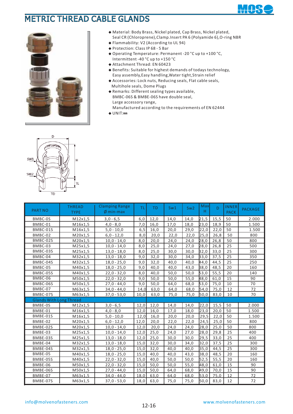

## METRIC THREAD CABLE GLANDS



- **◆** Material: Body Brass, Nickel plated, Cap Brass, Nickel plated, Seal CR (Chloroprene),Clamp.Insert PA 6 (Polyamide 6),O-ring NBR
- Flammability: V2 (According to UL 94) **◆**
- ◆ Protection: Class IP 68 5 Bar
- ◆ Operating Temperature: Permanent -20 °C up to +100 °C, Intermittent -40 °C up to +150 °C
- Attachment Thread: EN 60423 **◆**
- ◆ Benefits: Suitable for highest demands of todays technology, Easy assembly,Easy handling,Water tight,Strain relief
- Accessories: Lock nuts, Reducing seals, Flat cable seals, **◆** Multihole seals, Dome Plugs
- ◆ Remarks: Different sealing types available, BMBC-06S & BMBE-06S have double seal, Large accessory range, Manufactured according to the requirements of EN 62444
- **◆** UNIT:**㎜**



| <b>PART NO</b>                 | <b>THREAD</b><br><b>TYPE</b> | <b>Clamping Range</b><br>$\emptyset$ min-max | ΤL   | <b>TD</b> | Sw1  | Sw2  | Max<br>H | D.   | <b>INNER</b><br><b>PACK</b> | <b>PACKAGE</b> |
|--------------------------------|------------------------------|----------------------------------------------|------|-----------|------|------|----------|------|-----------------------------|----------------|
| BMBC-0S                        | M12x1,5                      | $3,0 - 6,5$                                  | 6,0  | 12,0      | 14,0 | 14,0 | 21,5     | 15,5 | 50                          | 2.000          |
| BMBC-01                        | M16x1,5                      | $4,0 - 8,0$                                  | 7,0  | 16,0      | 17,0 | 18,0 | 23,0     | 18,9 | 50                          | 1.500          |
| BMBC-01S                       | M16x1,5                      | $5,0 - 10,0$                                 | 6, 5 | 16,0      | 20,0 | 29,0 | 22,0     | 22,0 | 50                          | 1.500          |
| BMBC-02                        | M20x1,5                      | $6,0 - 12,0$                                 | 8,0  | 20,0      | 22,0 | 22,0 | 25,0     | 26,8 | 50                          | 800            |
| BMBC-02S                       | M20x1,5                      | $10,0 - 14,0$                                | 8,0  | 20,0      | 24,0 | 24,0 | 28,0     | 26,8 | 50                          | 800            |
| BMBC-03                        | M25x1,5                      | $10,0 - 14,0$                                | 8,0  | 25,0      | 24,0 | 27,0 | 28,0     | 26,8 | 25                          | 500            |
| BMBC-03S                       | M25x1,5                      | $13,0 - 18,0$                                | 8,0  | 25,0      | 30,0 | 30,0 | 32,0     | 33,0 | 25                          | 300            |
| BMBC-04                        | M32x1,5                      | $13,0 - 18,0$                                | 9,0  | 32,0      | 30,0 | 34,0 | 33,0     | 37,5 | 25                          | 350            |
| BMBC-04S                       | M32x1,5                      | $18,0 - 25,0$                                | 9,0  | 32,0      | 40,0 | 40,0 | 44,0     | 44,5 | 25                          | 250            |
| BMBC-05                        | M40x1,5                      | $18,0 - 25,0$                                | 9,0  | 40,0      | 40,0 | 43,0 | 38,0     | 48,5 | 20                          | 160            |
| BMBC-05S                       | M40x1,5                      | $22,0 - 32,0$                                | 8,0  | 40,0      | 50,0 | 50,0 | 53,0     | 55,5 | 20                          | 140            |
| BMBC-06                        | M50x1,5                      | $22,0 - 32,0$                                | 9,0  | 50,0      | 50,0 | 55,0 | 48,0     | 61,0 | 15                          | 90             |
| BMBC-06S                       | M50x1,5                      | $27,0 - 44,0$                                | 9,0  | 50,0      | 64,0 | 68,0 | 53,0     | 75,0 | 10                          | 70             |
| BMBC-07                        | M63x1,5                      | $34,0 - 44,0$                                | 14,0 | 63,0      | 64,0 | 68,0 | 54,0     | 75,0 | 12                          | 72             |
| BMBC-07S                       | M63x1,5                      | $37,0 - 53,0$                                | 10,0 | 63,0      | 75,0 | 75,0 | 50,0     | 83,0 | 10                          | 70             |
| <b>Glands With Long Thread</b> |                              |                                              |      |           |      |      |          |      |                             |                |
| BMBE-0S                        | M12x1,5                      | $3,0 - 6,5$                                  | 12,0 | 12,0      | 14,0 | 14,0 | 22,0     | 15,5 | 50                          | 2.000          |
| BMBE-01                        | M16x1,5                      | $4,0 - 8,0$                                  | 12,0 | 16,0      | 17,0 | 18,0 | 23,0     | 20,0 | 50                          | 1.500          |
| BMBE-01S                       | M16x1,5                      | $5,0 - 10,0$                                 | 12,0 | 16,0      | 20,0 | 20,0 | 29,5     | 22,0 | 50                          | 1.500          |
| BMBE-02                        | M20x1,5                      | $6,0 - 12,0$                                 | 12,0 | 20,0      | 22,0 | 22,0 | 24,5     | 25,0 | 50                          | 800            |
| BMBE-02S                       | M20x1,5                      | $10,0 - 14,0$                                | 12,0 | 20,0      | 24,0 | 24,0 | 28,0     | 25,0 | 50                          | 800            |
| BMBE-03                        | M25x1,5                      | $10,0 - 14,0$                                | 12,0 | 25,0      | 24,0 | 27,0 | 28,0     | 29,8 | 25                          | 400            |
| BMBE-03S                       | M25x1,5                      | $13,0 - 18,0$                                | 12,0 | 25,0      | 30,0 | 30,0 | 29,5     | 33,0 | 25                          | 400            |
| BMBE-04                        | M32x1,5                      | $13,0 - 18,0$                                | 15,0 | 32,0      | 30,0 | 34,0 | 32,0     | 37,5 | 25                          | 300            |
| BMBE-04S                       | M32x1,5                      | $18,0 - 25,0$                                | 15,0 | 32,0      | 40,0 | 40,0 | 35,0     | 44,5 | 25                          | 300            |
| BMBE-05                        | M40x1,5                      | $18,0 - 25,0$                                | 15,0 | 40,0      | 40,0 | 43,0 | 38,0     | 48,5 | 20                          | 160            |
| BMBE-05S                       | M40x1,5                      | $22,0 - 32,0$                                | 15,0 | 40,0      | 50,0 | 50,0 | 52,5     | 55,5 | 20                          | 160            |
| BMBE-06                        | M50x1,5                      | $22,0 - 32,0$                                | 15,0 | 50,0      | 50,0 | 55,0 | 48,0     | 61,0 | 15                          | 90             |
| BMBE-06S                       | M50x1,5                      | $27,0 - 44,0$                                | 15,0 | 50,0      | 64,0 | 68,0 | 49,0     | 70.0 | 15                          | 90             |
| BMBE-07                        | M63x1,5                      | $34,0 - 44,0$                                | 18,0 | 63,0      | 64,0 | 68.0 | 53,0     | 75.0 | 12                          | 72             |
| BMBE-07S                       | M63x1,5                      | $37,0 - 53,0$                                | 18,0 | 63,0      | 75,0 | 75,0 | 50,0     | 83,0 | 12                          | 72             |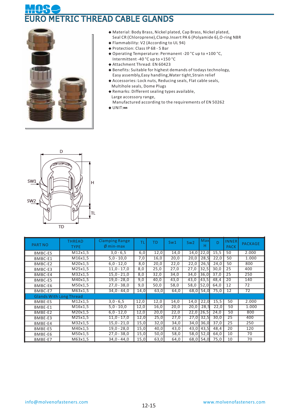# METRIC THREAD CABLE GLANDS



- **◆** Material: Body Brass, Nickel plated, Cap Brass, Nickel plated, Seal CR (Chloroprene), Clamp. Insert PA 6 (Polyamide 6), O-ring NBR
- Flammability: V2 (According to UL 94) **◆**
- ◆ Protection: Class IP 68 5 Bar
- ◆ Operating Temperature: Permanent -20 °C up to +100 °C, Intermittent -40 °C up to +150 °C
- Attachment Thread: EN 60423 **◆**
- ◆ Benefits: Suitable for highest demands of todays technology, Easy assembly,Easy handling,Water tight,Strain relief
- Accessories: Lock nuts, Reducing seals, Flat cable seals, **◆** Multihole seals, Dome Plugs
- ◆ Remarks: Different sealing types available, Large accessory range, Manufactured according to the requirements of EN 50262
- **◆** UNIT:**㎜**



| <b>PART NO</b>                 | <b>THREAD</b><br><b>TYPE</b>   | <b>Clamping Range</b><br>$Ø$ min-max | ΤL   | TD   | Sw1  | Sw2  | Max<br>H | Ď    | <b>INNER</b><br><b>PACK</b> | <b>PACKAGE</b> |
|--------------------------------|--------------------------------|--------------------------------------|------|------|------|------|----------|------|-----------------------------|----------------|
| <b>BMBC-ES</b>                 | M12x1,5                        | $3,0 - 6,5$                          | 6,0  | 12,0 | 14,0 | 14,0 | 22,0     | 15,5 | 50                          | 2.000          |
| BMBC-E1                        | M16x1,5                        | $5,0 - 10,0$                         | 7,0  | 16,0 | 20,0 | 20,0 | 28,5     | 22,0 | 50                          | 1.000          |
| BMBC-E2                        | M20x1,5                        | $6,0 - 12,0$                         | 8,0  | 20,0 | 22,0 | 22,0 | 26,5     | 24,0 | 50                          | 800            |
| BMBC-E3                        | M25x1,5                        | $11,0 - 17,0$                        | 8,0  | 25,0 | 27,0 | 27,0 | 32,5     | 30,0 | 25                          | 400            |
| BMBC-E4                        | $\overline{\text{M}32x1,5}$    | $15,0 - 21,0$                        | 8,0  | 32,0 | 34,0 | 34,0 | 36,0     | 37,0 | 25                          | 250            |
| BMBC-E5                        | M40x1,5                        | 19,0 - 28,0                          | 9,0  | 40,0 | 43,0 | 43,0 | 43,5     | 48,4 | 20                          | 140            |
| BMBC-E6                        | $\overline{\mathsf{M}}$ 50x1,5 | $27,0 - 38,0$                        | 9,0  | 50,0 | 58,0 | 58,0 | 52,0     | 64,0 | 12                          | 72             |
| BMBC-E7                        | M63x1,5                        | $34,0 - 44,0$                        | 14,0 | 63,0 | 64,0 | 68,0 | 54,0     | 75,0 | 12                          | 72             |
| <b>Glands With Long Thread</b> |                                |                                      |      |      |      |      |          |      |                             |                |
| <b>BMBE-ES</b>                 | M12x1,5                        | $3,0 - 6,5$                          | 12,0 | 12,0 | 14,0 | 14,0 | 22,0     | 15,5 | 50                          | 2.000          |
| BMBE-E1                        | M16x1,5                        | $5,0 - 10,0$                         | 12,0 | 16,0 | 20,0 | 20,0 | 28,5     | 22,0 | 50                          | 1.000          |
| BMBE-E2                        | M20x1,5                        | $6,0 - 12,0$                         | 12,0 | 20,0 | 22,0 | 22,0 | 26,5     | 24,0 | 50                          | 800            |
| BMBE-E3                        | M25x1,5                        | $11.0 - 17.0$                        | 12,0 | 25,0 | 27,0 | 27,0 | 32,5     | 30,0 | 25                          | 400            |
| BMBE-E4                        | M32x1,5                        | $15,0 - 21,0$                        | 15,0 | 32,0 | 34,0 | 34,0 | 36,0     | 37,0 | 25                          | 250            |
| BMBE-E5                        | M40x1,5                        | $19,0 - 28,0$                        | 15,0 | 40,0 | 43,0 | 43,0 | 43,5     | 48,4 | 20                          | 120            |
| BMBE-E6                        | M50x1,5                        | $27,0 - 38,0$                        | 15,0 | 50,0 | 58,0 | 58,0 | 52,0     | 64,0 | 10                          | 70             |
| BMBE-E7                        | M63x1,5                        | $34,0 - 44,0$                        | 15,0 | 63,0 | 64,0 | 68,0 | 54,0     | 75,0 | 10                          | 70             |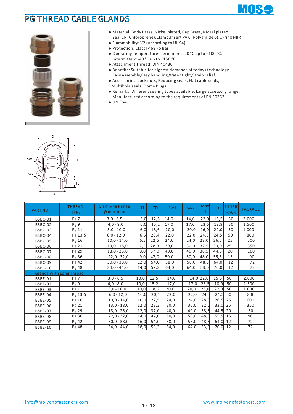

### PG THREAD CABLE GLANDS



- **◆** Material: Body Brass, Nickel plated, Cap Brass, Nickel plated, Seal CR (Chloroprene), Clamp. Insert PA 6 (Polyamide 6), O-ring NBR
- Flammability: V2 (According to UL 94) **◆**
- ◆ Protection: Class IP 68 5 Bar
- ◆ Operating Temperature: Permanent -20 °C up to +100 °C, Intermittent -40 °C up to +150 °C
- Attachment Thread: DIN 40430 **◆**
- ◆ Benefits: Suitable for highest demands of todays technology, Easy assembly,Easy handling,Water tight,Strain relief
- Accessories: Lock nuts, Reducing seals, Flat cable seals, **◆** Multihole seals, Dome Plugs
- ◆ Remarks: Different sealing types available, Large accessory range, Manufactured according to the requirements of EN 50262
- **◆** UNIT:**㎜**



| <b>PART NO</b> | <b>THREAD</b><br><b>TYPE</b>   | <b>Clamping Range</b><br>$\emptyset$ min-max | TL   | <b>TD</b> | Sw1  | Sw <sub>2</sub> | Max<br>H    | D    | <b>INNER</b><br><b>PACK</b> | <b>PACKAGE</b> |
|----------------|--------------------------------|----------------------------------------------|------|-----------|------|-----------------|-------------|------|-----------------------------|----------------|
| BSBC-01        | Pg7                            | $3,0 - 6,5$                                  | 6,0  | 12,5      | 14,0 | 14,0            | 22,0        | 15,5 | 50                          | 2.000          |
| BSBC-02        | Pg 9                           | $4,0 - 8,0$                                  | 6,0  | 15,2      | 17,0 | 17,0            | 23,5        | 18,9 | 50                          | 1.500          |
| BSBC-03        | Pg 11                          | $5,0 - 10,0$                                 | 6,0  | 18,6      | 20,0 | 20,0            | 26,0        | 22,0 | 50                          | 1.000          |
| BSBC-04        | Pg 13,5                        | $6,0 - 12,0$                                 | 6, 5 | 20,4      | 22,0 | 22,0            | 24,5        | 24,5 | 50                          | 800            |
| BSBC-05        | Pg 16                          | $10,0 - 14,0$                                | 6, 5 | 22,5      | 24,0 | 24,0            | 28,0        | 26,5 | 25                          | 500            |
| BSBC-06        | Pg 21                          | $13,0 - 18,0$                                | 7,2  | 28,3      | 30,0 | 30,0            | 32,5        | 33,0 | 25                          | 350            |
| BSBC-07        | Pg 29                          | $18,0 - 25,0$                                | 8,0  | 37,0      | 40,0 | 40,0            | 38,5        | 44,5 | 20                          | 160            |
| BSBC-08        | Pg 36                          | $22,0 - 32,0$                                | 9,0  | 47,0      | 50,0 | 50,0            | 48,0        | 55,5 | 15                          | 90             |
| BSBC-09        | Pg 42                          | $30,0 - 38,0$                                | 12,0 | 54,0      | 58,0 | 58,0            | 48,5        | 64,0 | 12                          | 72             |
| BSBC-10        | Pg 48                          | $34,0 - 44,0$                                | 14,0 | 59,3      | 64,0 | 64,0            | 53,0        | 70,0 | 12                          | 72             |
|                | <b>Glands With Long Thread</b> |                                              |      |           |      |                 |             |      |                             |                |
| BSBE-01        | Pg 7                           | $3,0 - 6,5$                                  | 10,0 | 12,5      | 14,0 |                 | $14,0$ 22,0 | 15,5 | 50                          | 2.000          |
| BSBE-02        | Pg 9                           | $4,0 - 8,0$                                  | 10,0 | 15,2      | 17,0 | 17,0            | 23,5        | 18,9 | 50                          | 1.500          |
| <b>BSBE-03</b> | Pg 11                          | $5,0 - 10,0$                                 | 10,0 | 18,6      | 20,0 | 20,0            | 26,0        | 22,0 | 50                          | 1.000          |
| BSBE-04        | Pg 13,5                        | $6,0 - 12,0$                                 | 10,0 | 20,4      | 22,0 | 22,0            | 24,5        | 24,5 | 50                          | 800            |
| BSBE-05        | Pg 16                          | $10,0 - 14,0$                                | 10,0 | 22,5      | 24,0 | 24,0            | 28,0        | 26,5 | 25                          | 600            |
| BSBE-06        | Pg 21                          | $13,0 - 18,0$                                | 12,0 | 28,3      | 30,0 | 30,0            | 32,5        | 33,0 | 25                          | 350            |
| BSBE-07        | Pg 29                          | $18,0 - 25,0$                                | 12,0 | 37,0      | 40,0 | 40,0            | 38,5        | 44,5 | 20                          | 160            |
| BSBE-08        | Pg 36                          | $22,0 - 32,0$                                | 14,0 | 47,0      | 50,0 | 50,0            | 48,0        | 55,5 | 15                          | 90             |
| BSBE-09        | Pg 42                          | $30,0 - 38,0$                                | 16,0 | 54,0      | 58,0 | 58,0            | 48,5        | 64,0 | 12                          | 72             |
| <b>BSBE-10</b> | Pg 48                          | 34,0 - 44,0                                  | 18,0 | 59,3      | 64,0 | 64,0            | 53,0        | 70,0 | 12                          | 72             |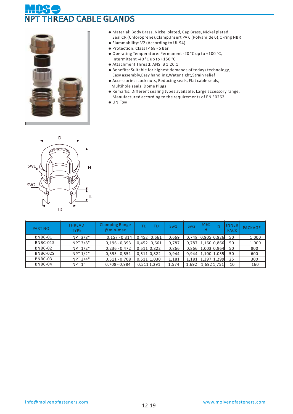# READ CABLE GLANDS



- **◆** Material: Body Brass, Nickel plated, Cap Brass, Nickel plated, Seal CR (Chloroprene), Clamp. Insert PA 6 (Polyamide 6), O-ring NBR
- Flammability: V2 (According to UL 94) **◆**
- ◆ Protection: Class IP 68 5 Bar
- ◆ Operating Temperature: Permanent -20 °C up to +100 °C, Intermittent -40 °C up to +150 °C
- Attachment Thread: ANSI B 1.20.1 **◆**
- ◆ Benefits: Suitable for highest demands of todays technology, Easy assembly,Easy handling,Water tight,Strain relief
- Accessories: Lock nuts, Reducing seals, Flat cable seals, **◆** Multihole seals, Dome Plugs
- ◆ Remarks: Different sealing types available, Large accessory range, Manufactured according to the requirements of EN 50262
- **◆** UNIT:**㎜**



| <b>PART NO</b> | THREAD<br><b>TYPE</b> | <b>Clamping Range</b><br>$\emptyset$ min-max | ÷ | TD.           | Sw1   | Sw2                     | Max<br>н | D             | <b>INNER</b><br><b>PACK</b> | <b>PACKAGE</b> |
|----------------|-----------------------|----------------------------------------------|---|---------------|-------|-------------------------|----------|---------------|-----------------------------|----------------|
| BNBC-01        | NPT 3/8"              | $0,157 - 0,314$                              |   | 0.452 0.661   | 0.669 | 0,748 0,905 0,826       |          |               | 50                          | 1.000          |
| BNBC-01S       | NPT 3/8"              | $0,196 - 0,393$                              |   | $0,452$ 0,661 | 0,787 | $0,787$ $ 1,160 0,866 $ |          |               | 50                          | 1.000          |
| BNBC-02        | NPT 1/2"              | $0,236 - 0,472$                              |   | 0,511 0,822   | 0,866 | $0,866$ $ 1,003 0,964 $ |          |               | 50                          | 800            |
| BNBC-02S       | NPT 1/2"              | $0,393 - 0,551$                              |   | 0,511 0,822   | 0,944 | $0,944$ $ 1,100 1,055 $ |          |               | 50                          | 600            |
| BNBC-03        | NPT 3/4"              | $0,511 - 0,708$                              |   | 0,511 1,030   | 1,181 | 1,181                   |          | $1,397$ 1,299 | 25                          | 300            |
| BNBC-04        | NPT <sub>1"</sub>     | $0,708 - 0,984$                              |   | 0,5111,291    | 1,574 | 1,692                   |          | 1,692 1,751   | 10                          | 160            |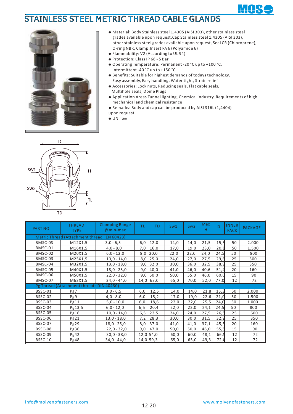

## STAINLESS STEEL METRIC THREAD CABLE GLANDS



- **◆** Material: Body Stainless steel 1.4305 (AISI 303), other stainless steel grades available upon request,Cap Stainless steel 1.4305 (AISI 303), other stainless steel grades available upon request, Seal CR (Chloroprene), O-ring NBR, Clamp.Insert PA 6 (Polyamide 6)
- Flammability: V2 (According to UL 94) **◆**
- ◆ Protection: Class IP 68 5 Bar
- Operating Temperature: Permanent -20 °C up to +100 °C, **◆** Intermittent -40 °C up to +150 °C
- ◆ Benefits: Suitable for highest demands of todays technology, Easy assembly, Easy handling, Water tight, Strain relief
- ◆ Accessories: Lock nuts, Reducing seals, Flat cable seals, Multihole seals, Dome Plugs
- Application Areas Tunnel lighting, Chemical industry, Requirements of high **◆** mechanical and chemical resistance
- ◆ Remarks: Body and cap can be produced by AISI 316L (1,4404)
- upon request.
- **◆** UNIT:**㎜**



| <b>PART NO</b> | <b>THREAD</b><br><b>TYPE</b>                | <b>Clamping Range</b><br>$\emptyset$ min-max | TL   | TD          | Sw1  | Sw <sub>2</sub> | Max<br>Н | D    | <b>INNER</b><br><b>PACK</b> | <b>PACKAGE</b> |
|----------------|---------------------------------------------|----------------------------------------------|------|-------------|------|-----------------|----------|------|-----------------------------|----------------|
|                | Metric Thread (Attachment thread: EN 60423) |                                              |      |             |      |                 |          |      |                             |                |
| BMSC-0S        | M12X1,5                                     | $3,0 - 6,5$                                  | 6,0  | 12,0        | 14,0 | 14,0            | 21,5     | 15,5 | 50                          | 2.000          |
| BMSC-01        | M16X1,5                                     | $4,0 - 8,0$                                  | 7,0  | 16,0        | 17,0 | 19,0            | 23,0     | 20,8 | 50                          | 1.500          |
| BMSC-02        | M20X1,5                                     | $6,0 - 12,0$                                 | 8,0  | 20,0        | 22,0 | 22,0            | 24,0     | 24,5 | 50                          | 800            |
| BMSC-03        | M25X1,5                                     | $10,0 - 14,0$                                | 8,0  | 25,0        | 24,0 | 27,0            | 27,5     | 29,6 | 25                          | 500            |
| BMSC-04        | M32X1,5                                     | $13,0 - 18,0$                                | 9,0  | 32,0        | 30,0 | 36,0            | 32,5     | 38,9 | 25                          | 350            |
| BMSC-05        | M40X1,5                                     | $18,0 - 25,0$                                | 9,0  | 40,0        | 41,0 | 46,0            | 40,6     | 51,4 | 20                          | 160            |
| BMSC-06        | M50X1,5                                     | $22,0 - 32,0$                                | 9,0  | 50,0        | 50,0 | 55,0            | 46,0     | 60,0 | 15                          | 90             |
| BMSC-07        | M63X1,5                                     | $34,0 - 44,0$                                |      | 14,0 63,0   | 65,0 | 70,0            | 52,0     | 77,0 | 12                          | 72             |
|                | Pg Thread (Attachment thread: DIN 40430)    |                                              |      |             |      |                 |          |      |                             |                |
| BSSC-01        | Pg7                                         | $3,0 - 6,5$                                  | 6,0  | 12,5        | 14,0 | 14,0            | 21,8     | 15,3 | 50                          | 2.000          |
| BSSC-02        | Pg9                                         | $4,0 - 8,0$                                  | 6,0  | 15,2        | 17,0 | 19,0            | 22,6     | 21,0 | 50                          | 1.500          |
| BSSC-03        | Pg11                                        | $5,0 - 10,0$                                 | 6,0  | 18,6        | 22,0 | 22,0            | 25,5     | 24,0 | 50                          | 1.000          |
| BSSC-04        | Pg13,5                                      | $6,0 - 12,0$                                 | 6, 5 | 20,4        | 22,0 | 22,0            | 24,1     | 24,5 | 50                          | 800            |
| <b>BSSC-05</b> | Pg16                                        | $10,0 - 14,0$                                | 6,5  | 22,5        | 24,0 | 24,0            | 27,5     | 26,5 | 25                          | 600            |
| BSSC-06        | Pg21                                        | $13,0 - 18,0$                                | 7.2  | 28,3        | 30,0 | 30,0            | 31,5     | 32,9 | 25                          | 350            |
| BSSC-07        | Pg29                                        | $18,0 - 25,0$                                | 8,0  | 37,0        | 41,0 | 41,0            | 37,1     | 45,5 | 20                          | 160            |
| BSSC-08        | Pg36                                        | $22,0 - 32,0$                                | 9,0  | 47,0        | 50,0 | 50,0            | 46,0     | 55,5 | 15                          | 90             |
| BSSC-09        | Pg42                                        | $30,0 - 38,0$                                |      | $12,0$ 54,0 | 60,0 | 60,0            | 48,1     | 66,5 | 12                          | 72             |
| <b>BSSC-10</b> | Pg48                                        | $34,0 - 44,0$                                |      | 14,0 59,3   | 65,0 | 65,0            | 49,3     | 72,d | 12                          | 72             |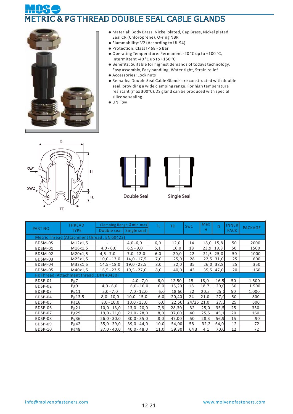# **& PG THREAD DOUBLE SEAL CABLE GLANDS**



- **◆** Material: Body Brass, Nickel plated, Cap Brass, Nickel plated, Seal CR (Chloroprene), O-ring NBR
- Flammability: V2 (According to UL 94) **◆**
- ◆ Protection: Class IP 68 5 Bar
- ◆ Operating Temperature: Permanent -20 °C up to +100 °C, Intermittent -40 °C up to +150 °C
- ◆ Benefits: Suitable for highest demands of todays technology,
- Easy assembly, Easy handling, Water tight, Strain relief
- ◆ Accessories: Lock nuts
- Remarks: Double Seal Cable Glands are constructed with double **◆** seal, providing a wide clamping range. For high temperature resistant (max 300°C).DS gland can be produced with special silicone sealing.
- **◆** UNIT:**㎜**





| <b>PART NO</b> | <b>THREAD</b><br><b>TYPE</b>                | Double seal   Single seal | Clamping Range Ø min-max | ΤL   | <b>TD</b> | Sw1        | Max<br>н | D    | <b>INNER</b><br><b>PACK</b> | <b>PACKAGE</b> |
|----------------|---------------------------------------------|---------------------------|--------------------------|------|-----------|------------|----------|------|-----------------------------|----------------|
|                | Metric Thread (Attachment thread: EN 60423) |                           |                          |      |           |            |          |      |                             |                |
| BDSM-0S        | M12x1,5                                     |                           | $4,0 - 6,0$              | 6,0  | 12,0      | 14         | 18,0     | 15,8 | 50                          | 2000           |
| BDSM-01        | M16x1,5                                     | $4,0 - 6,0$               | $6, 5 - 9, 0$            | 5,1  | 16,0      | 18         | 23,9     | 19,8 | 50                          | 1500           |
| BDSM-02        | M20x1,5                                     | $4,5 - 7,0$               | $7,0 - 12,0$             | 6,0  | 20,0      | 22         | 21,5     | 25,0 | 50                          | 1000           |
| BDSM-03        | M25x1,5                                     | $10,0 - 13,0$             | $14,0 - 17,5$            | 7,0  | 25,0      | 28         | 22,5     | 31,0 | 25                          | 600            |
| BDSM-04        | M32x1,5                                     | $14,5 - 18,0$             | $19,0 - 23,5$            | 8,0  | 32,0      | 35         | 26,0     | 38,8 | 25                          | 350            |
| <b>BDSM-05</b> | M40x1,5                                     | $16, 5 - 23, 5$           | $19,5 - 27,0$            | 8,0  | 40,0      | 43         | 35,5     | 47,0 | 20                          | 160            |
|                | Pg Thread (Attachment thread: DIN 40430)    |                           |                          |      |           |            |          |      |                             |                |
| BDSP-01        | Pg7                                         | ۰                         | $4,0 - 7,0$              | 6,0  | 12,50     | 15         | 18,0     | 16,5 | 50                          | 1.500          |
| BDSP-02        | Pg9                                         | $4,0 - 6,0$               | $6,0 - 10,0$             | 6,0  | 15,20     | 18         | 18,7     | 20,0 | 50                          | 1.500          |
| BDSP-03        | Pg11                                        | $5,0 - 7,0$               | $7,0 - 12,0$             | 6,0  | 18,60     | 22         | 20,5     | 25,0 | 50                          | 1.000          |
| BDSP-04        | Pg13,5                                      | $8,0 - 10,0$              | $10,0 - 15,0$            | 6,0  | 20,40     | 24         | 21,0     | 27,0 | 50                          | 800            |
| BDSP-05        | Pg16                                        | $8,0 - 10,0$              | $10,0 - 15,0$            | 6,0  | 22,50     | 24/25 21,0 |          | 27,5 | 25                          | 600            |
| BDSP-06        | Pg21                                        | $10,0 - 13,0$             | $13,0 - 20,0$            | 7,6  | 28,30     | 32         | 25,0     | 35,5 | 25                          | 350            |
| BDSP-07        | Pg29                                        | $19,0 - 21,0$             | $21,0 - 28,0$            | 8,0  | 37,00     | 40         | 25,5     | 45,1 | 20                          | 160            |
| <b>BDSP-08</b> | Pg36                                        | $26.0 - 30.0$             | $30.0 - 35.0$            | 8.0  | 47.00     | 50         | 28.3     | 56.9 | 15                          | 90             |
| BDSP-09        | Pg42                                        | $35,0 - 39,0$             | $39,0 - 44,0$            | 10,0 | 54,00     | 58         | 32.2     | 64,0 | 12                          | 72             |
| BDSP-10        | Pg48                                        | $37,0 - 40,0$             | $40,0 - 48,0$            | 11,0 | 59,30     | 643        | 4,1      | 70,0 | 12                          | 72             |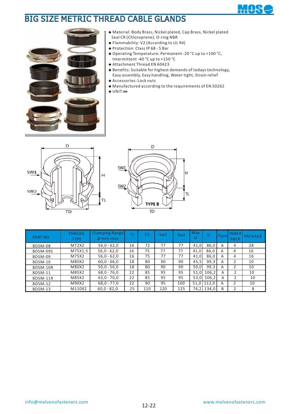## BIG SIZE METRIC THREAD CABLE GLANDS





- **◆** Material: Body Brass, Nickel plated, Cap Brass, Nickel plated Seal CR (Chloroprene), O-ring NBR
- Flammability: V2 (According to UL 94) **◆**
- ◆ Protection: Class IP 68 5 Bar
- ◆ Operating Temperature: Permanent -20 °C up to +100 °C, Intermittent -40 °C up to +150 °C
- Attachment Thread EN 60423 **◆**
- ◆ Benefits: Suitable for highest demands of todays technology, Easy assembly, Easy handling, Water tight, Strain relief
- Accessories: Lock nuts **◆**
- ◆ Manufactured according to the requirements of EN 50262
- **◆** UNIT:**㎜**





| <b>PART NO</b> | THREAD<br><b>TYPE</b> | <b>Clamping Range</b><br>$\emptyset$ min-max | ΤL | TD  | Sw1 | Sw <sub>2</sub> | Max<br>н |              | Type | <b>INNER</b><br><b>PACK</b> | <b>PACKAGE</b> |
|----------------|-----------------------|----------------------------------------------|----|-----|-----|-----------------|----------|--------------|------|-----------------------------|----------------|
| BDSM-08        | M72X2                 | $56,0 - 62,0$                                | 16 | 72  | 77  | 77              | 41,0     | 86,0         | А    | 4                           | 28             |
| BDSM-09S       | M75X1,5               | $56,0 - 62,0$                                | 16 | 75  | 77  | 77              | 41.0     | 86,0         | A    | 4                           | 16             |
| BDSM-09        | M75X2                 | $56,0 - 62,0$                                | 16 | 75  | 77  | 77              | 41,0     | 86,0         | A    | 4                           | 16             |
| <b>BDSM-10</b> | M80X2                 | $60,0 - 66,0$                                | 18 | 80  | 90  | 90              | 45,5     | 99,3         | A    |                             | 10             |
| BDSM-10R       | M80X2                 | $50,0 - 56,0$                                | 18 | 80  | 90  | 90              | 50.0     | 99,3         | A    |                             | 10             |
| BDSM-11        | M85X2                 | $68,0 - 76,0$                                | 22 | 85  | 95  | 95              | 51.0     | 106,2        | A    | ำ                           | 10             |
| BDSM-11R       | M85X2                 | $63,0 - 70,0$                                | 22 | 85  | 95  | 95              |          | 53,0 106,2   | A    |                             | 10             |
| BDSM-12        | M90X2                 | $68,0 - 77,0$                                | 22 | 90  | 95  | 100             |          | $51,0$ 112,0 | А    |                             | 10             |
| BDSM-13        | M110X2                | $60,0 - 82,0$                                | 25 | 110 | 120 | 125             | 74.2     | 134,0        | B    |                             | 8              |